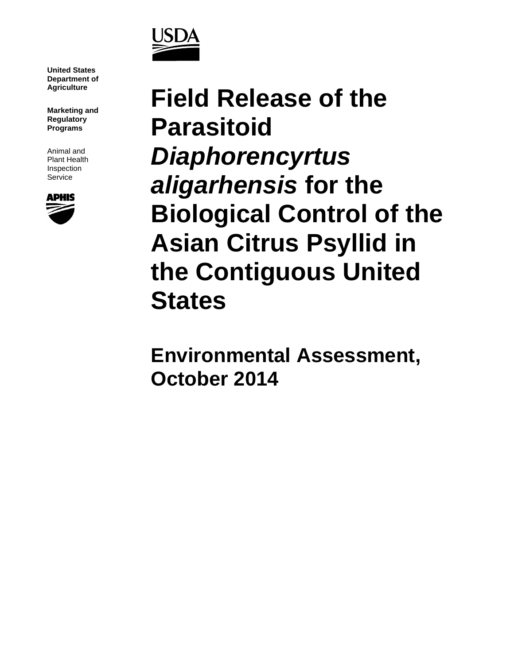

**United States Department of** 

**Marketing and Regulatory Programs**

Animal and Plant Health Inspection Service



**Agriculture Field Release of the Parasitoid**  *Diaphorencyrtus aligarhensis* **for the Biological Control of the Asian Citrus Psyllid in the Contiguous United States**

> **Environmental Assessment, October 2014**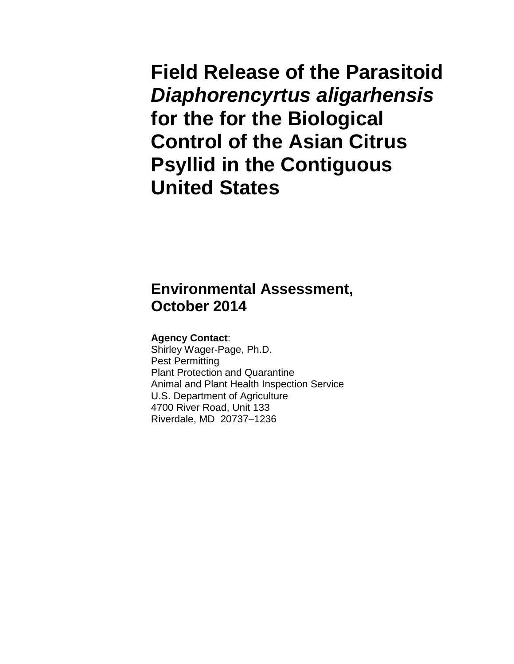**Field Release of the Parasitoid**  *Diaphorencyrtus aligarhensis* **for the for the Biological Control of the Asian Citrus Psyllid in the Contiguous United States**

# **Environmental Assessment, October 2014**

### **Agency Contact**:

Shirley Wager-Page, Ph.D. Pest Permitting Plant Protection and Quarantine Animal and Plant Health Inspection Service U.S. Department of Agriculture 4700 River Road, Unit 133 Riverdale, MD 20737–1236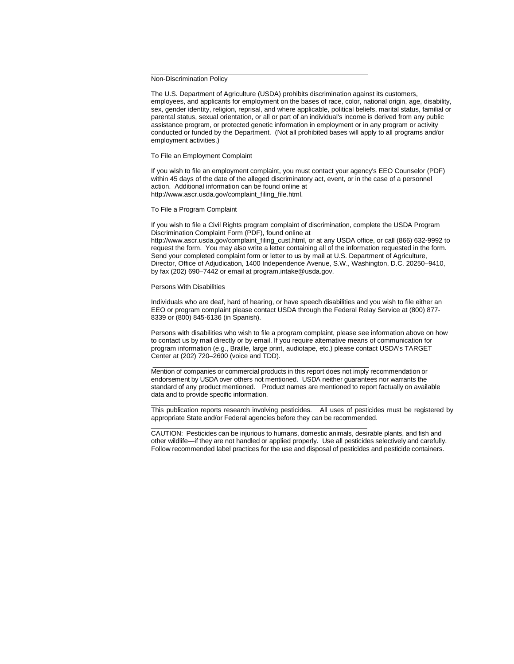Non-Discrimination Policy

The U.S. Department of Agriculture (USDA) prohibits discrimination against its customers, employees, and applicants for employment on the bases of race, color, national origin, age, disability, sex, gender identity, religion, reprisal, and where applicable, political beliefs, marital status, familial or parental status, sexual orientation, or all or part of an individual's income is derived from any public assistance program, or protected genetic information in employment or in any program or activity conducted or funded by the Department. (Not all prohibited bases will apply to all programs and/or employment activities.)

To File an Employment Complaint

If you wish to file an employment complaint, you must contact your agency's EEO Counselor (PDF) within 45 days of the date of the alleged discriminatory act, event, or in the case of a personnel action. Additional information can be found online at http://www.ascr.usda.gov/complaint\_filing\_file.html.

To File a Program Complaint

If you wish to file a Civil Rights program complaint of discrimination, complete the USDA Program Discrimination Complaint Form (PDF), found online at http://www.ascr.usda.gov/complaint\_filing\_cust.html, or at any USDA office, or call (866) 632-9992 to request the form. You may also write a letter containing all of the information requested in the form. Send your completed complaint form or letter to us by mail at U.S. Department of Agriculture, Director, Office of Adjudication, 1400 Independence Avenue, S.W., Washington, D.C. 20250–9410, by fax (202) 690–7442 or email at program.intake@usda.gov.

#### Persons With Disabilities

Individuals who are deaf, hard of hearing, or have speech disabilities and you wish to file either an EEO or program complaint please contact USDA through the Federal Relay Service at (800) 877- 8339 or (800) 845-6136 (in Spanish).

Persons with disabilities who wish to file a program complaint, please see information above on how to contact us by mail directly or by email. If you require alternative means of communication for program information (e.g., Braille, large print, audiotape, etc.) please contact USDA's TARGET Center at (202) 720–2600 (voice and TDD).

Mention of companies or commercial products in this report does not imply recommendation or endorsement by USDA over others not mentioned. USDA neither guarantees nor warrants the standard of any product mentioned. Product names are mentioned to report factually on available data and to provide specific information.

This publication reports research involving pesticides. All uses of pesticides must be registered by appropriate State and/or Federal agencies before they can be recommended.

CAUTION: Pesticides can be injurious to humans, domestic animals, desirable plants, and fish and other wildlife—if they are not handled or applied properly. Use all pesticides selectively and carefully. Follow recommended label practices for the use and disposal of pesticides and pesticide containers.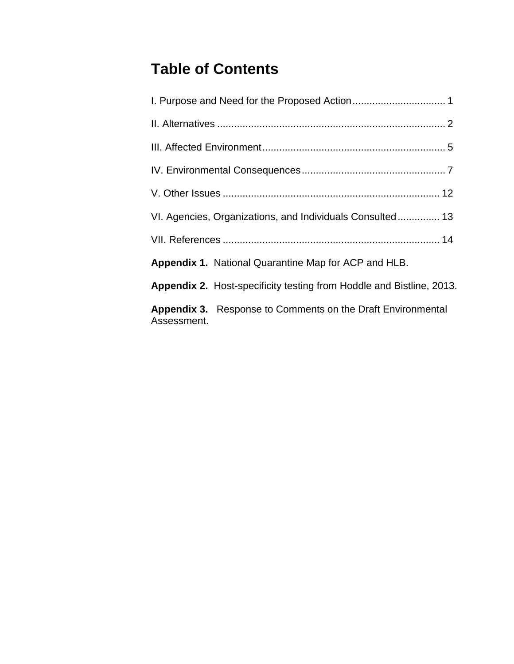# **Table of Contents**

| VI. Agencies, Organizations, and Individuals Consulted 13                         |  |  |  |  |  |  |  |
|-----------------------------------------------------------------------------------|--|--|--|--|--|--|--|
|                                                                                   |  |  |  |  |  |  |  |
| <b>Appendix 1.</b> National Quarantine Map for ACP and HLB.                       |  |  |  |  |  |  |  |
| <b>Appendix 2.</b> Host-specificity testing from Hoddle and Bistline, 2013.       |  |  |  |  |  |  |  |
| <b>Appendix 3.</b> Response to Comments on the Draft Environmental<br>Assessment. |  |  |  |  |  |  |  |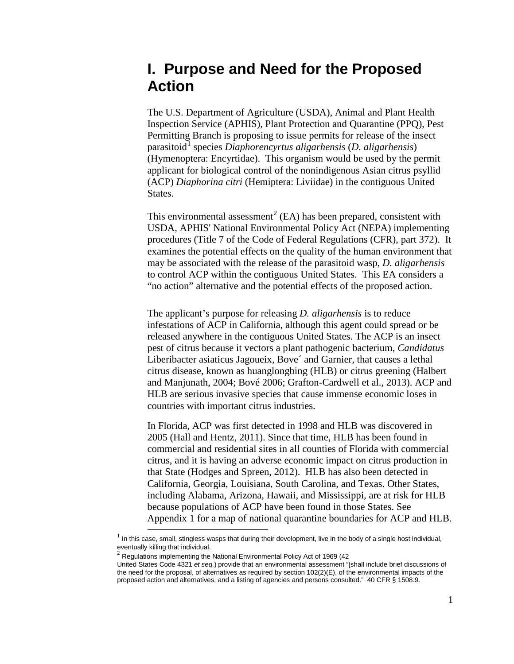# **I. Purpose and Need for the Proposed Action**

The U.S. Department of Agriculture (USDA), Animal and Plant Health Inspection Service (APHIS), Plant Protection and Quarantine (PPQ), Pest Permitting Branch is proposing to issue permits for release of the insect parasitoid[1](#page-4-0) species *Diaphorencyrtus aligarhensis* (*D. aligarhensis*) (Hymenoptera: Encyrtidae). This organism would be used by the permit applicant for biological control of the nonindigenous Asian citrus psyllid (ACP) *Diaphorina citri* (Hemiptera: Liviidae) in the contiguous United States.

This environmental assessment<sup>[2](#page-4-1)</sup> (EA) has been prepared, consistent with USDA, APHIS' National Environmental Policy Act (NEPA) implementing procedures (Title 7 of the Code of Federal Regulations (CFR), part 372). It examines the potential effects on the quality of the human environment that may be associated with the release of the parasitoid wasp, *D. aligarhensis* to control ACP within the contiguous United States. This EA considers a "no action" alternative and the potential effects of the proposed action.

The applicant's purpose for releasing *D. aligarhensis* is to reduce infestations of ACP in California, although this agent could spread or be released anywhere in the contiguous United States. The ACP is an insect pest of citrus because it vectors a plant pathogenic bacterium, *Candidatus* Liberibacter asiaticus Jagoueix, Bove´ and Garnier, that causes a lethal citrus disease, known as huanglongbing (HLB) or citrus greening (Halbert and Manjunath, 2004; Bové 2006; Grafton-Cardwell et al., 2013). ACP and HLB are serious invasive species that cause immense economic loses in countries with important citrus industries.

In Florida, ACP was first detected in 1998 and HLB was discovered in 2005 (Hall and Hentz, 2011). Since that time, HLB has been found in commercial and residential sites in all counties of Florida with commercial citrus, and it is having an adverse economic impact on citrus production in that State (Hodges and Spreen, 2012). HLB has also been detected in California, Georgia, Louisiana, South Carolina, and Texas. Other States, including Alabama, Arizona, Hawaii, and Mississippi, are at risk for HLB because populations of ACP have been found in those States. See Appendix 1 for a map of national quarantine boundaries for ACP and HLB.

 $\overline{a}$ 

<span id="page-4-0"></span> $1$  In this case, small, stingless wasps that during their development, live in the body of a single host individual,

eventually killing that individual.<br><sup>2</sup> Regulations implementing the National Environmental Policy Act of 1969 (42

<span id="page-4-1"></span>United States Code 4321 *et seq.*) provide that an environmental assessment "[shall include brief discussions of the need for the proposal, of alternatives as required by section 102(2)(E), of the environmental impacts of the proposed action and alternatives, and a listing of agencies and persons consulted." 40 CFR § 1508.9.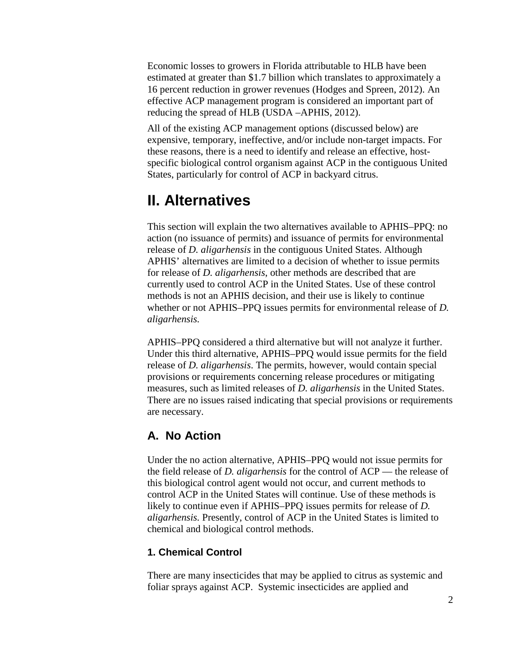Economic losses to growers in Florida attributable to HLB have been estimated at greater than \$1.7 billion which translates to approximately a 16 percent reduction in grower revenues (Hodges and Spreen, 2012). An effective ACP management program is considered an important part of reducing the spread of HLB (USDA –APHIS, 2012).

All of the existing ACP management options (discussed below) are expensive, temporary, ineffective, and/or include non-target impacts. For these reasons, there is a need to identify and release an effective, hostspecific biological control organism against ACP in the contiguous United States, particularly for control of ACP in backyard citrus.

# **II. Alternatives**

This section will explain the two alternatives available to APHIS–PPQ: no action (no issuance of permits) and issuance of permits for environmental release of *D. aligarhensis* in the contiguous United States. Although APHIS' alternatives are limited to a decision of whether to issue permits for release of *D. aligarhensis*, other methods are described that are currently used to control ACP in the United States. Use of these control methods is not an APHIS decision, and their use is likely to continue whether or not APHIS–PPQ issues permits for environmental release of *D. aligarhensis.*

APHIS–PPQ considered a third alternative but will not analyze it further. Under this third alternative, APHIS–PPQ would issue permits for the field release of *D. aligarhensis*. The permits, however, would contain special provisions or requirements concerning release procedures or mitigating measures, such as limited releases of *D. aligarhensis* in the United States. There are no issues raised indicating that special provisions or requirements are necessary.

## **A. No Action**

Under the no action alternative, APHIS–PPQ would not issue permits for the field release of *D. aligarhensis* for the control of ACP — the release of this biological control agent would not occur, and current methods to control ACP in the United States will continue. Use of these methods is likely to continue even if APHIS–PPQ issues permits for release of *D. aligarhensis.* Presently, control of ACP in the United States is limited to chemical and biological control methods.

### **1. Chemical Control**

There are many insecticides that may be applied to citrus as systemic and foliar sprays against ACP. Systemic insecticides are applied and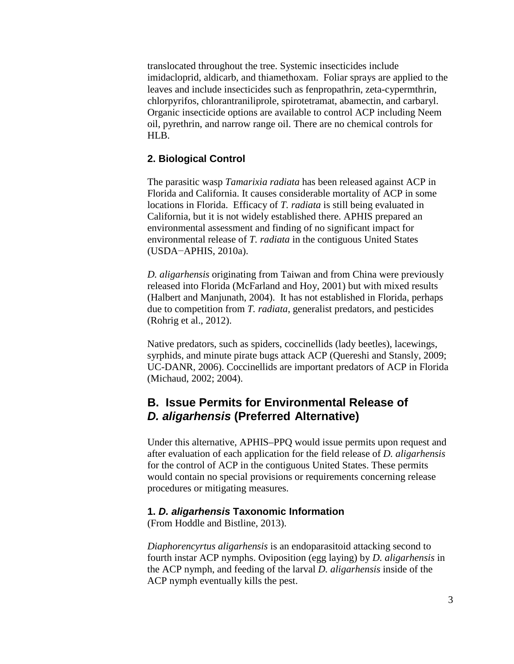translocated throughout the tree. Systemic insecticides include imidacloprid, aldicarb, and thiamethoxam. Foliar sprays are applied to the leaves and include insecticides such as fenpropathrin, zeta-cypermthrin, chlorpyrifos, chlorantraniliprole, spirotetramat, abamectin, and carbaryl. Organic insecticide options are available to control ACP including Neem oil, pyrethrin, and narrow range oil. There are no chemical controls for HLB.

### **2. Biological Control**

The parasitic wasp *Tamarixia radiata* has been released against ACP in Florida and California. It causes considerable mortality of ACP in some locations in Florida. Efficacy of *T. radiata* is still being evaluated in California, but it is not widely established there. APHIS prepared an environmental assessment and finding of no significant impact for environmental release of *T. radiata* in the contiguous United States (USDA−APHIS, 2010a).

*D. aligarhensis* originating from Taiwan and from China were previously released into Florida (McFarland and Hoy, 2001) but with mixed results (Halbert and Manjunath, 2004). It has not established in Florida, perhaps due to competition from *T. radiata*, generalist predators, and pesticides (Rohrig et al., 2012).

Native predators, such as spiders, coccinellids (lady beetles), lacewings, syrphids, and minute pirate bugs attack ACP (Quereshi and Stansly, 2009; UC-DANR, 2006). Coccinellids are important predators of ACP in Florida (Michaud, 2002; 2004).

## **B. Issue Permits for Environmental Release of**  *D. aligarhensis* **(Preferred Alternative)**

Under this alternative, APHIS–PPQ would issue permits upon request and after evaluation of each application for the field release of *D. aligarhensis* for the control of ACP in the contiguous United States. These permits would contain no special provisions or requirements concerning release procedures or mitigating measures.

### **1.** *D. aligarhensis* **Taxonomic Information**

(From Hoddle and Bistline, 2013).

*Diaphorencyrtus aligarhensis* is an endoparasitoid attacking second to fourth instar ACP nymphs. Oviposition (egg laying) by *D. aligarhensis* in the ACP nymph, and feeding of the larval *D. aligarhensis* inside of the ACP nymph eventually kills the pest.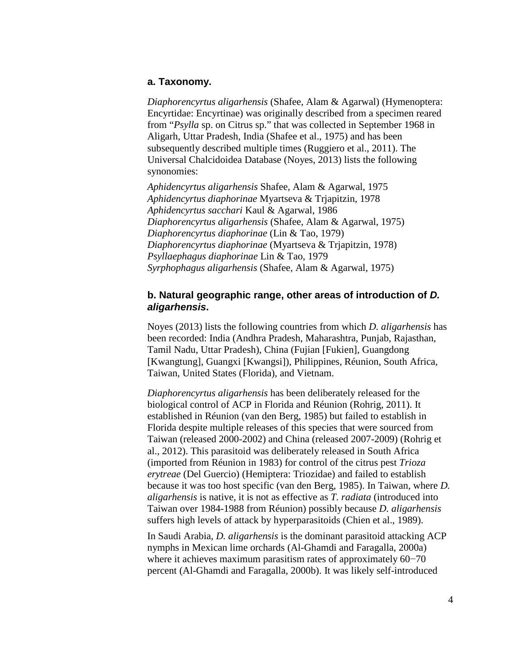#### **a. Taxonomy.**

*Diaphorencyrtus aligarhensis* (Shafee, Alam & Agarwal) (Hymenoptera: Encyrtidae: Encyrtinae) was originally described from a specimen reared from "*Psylla* sp. on Citrus sp." that was collected in September 1968 in Aligarh, Uttar Pradesh, India (Shafee et al., 1975) and has been subsequently described multiple times (Ruggiero et al., 2011). The Universal Chalcidoidea Database (Noyes, 2013) lists the following synonomies:

*Aphidencyrtus aligarhensis* Shafee, Alam & Agarwal, 1975 *Aphidencyrtus diaphorinae* Myartseva & Trjapitzin, 1978 *Aphidencyrtus sacchari* Kaul & Agarwal, 1986 *Diaphorencyrtus aligarhensis* (Shafee, Alam & Agarwal, 1975) *Diaphorencyrtus diaphorinae* (Lin & Tao, 1979) *Diaphorencyrtus diaphorinae* (Myartseva & Trjapitzin, 1978) *Psyllaephagus diaphorinae* Lin & Tao, 1979 *Syrphophagus aligarhensis* (Shafee, Alam & Agarwal, 1975)

### **b. Natural geographic range, other areas of introduction of** *D. aligarhensis***.**

Noyes (2013) lists the following countries from which *D. aligarhensis* has been recorded: India (Andhra Pradesh, Maharashtra, Punjab, Rajasthan, Tamil Nadu, Uttar Pradesh), China (Fujian [Fukien], Guangdong [Kwangtung], Guangxi [Kwangsi]), Philippines, Réunion, South Africa, Taiwan, United States (Florida), and Vietnam.

*Diaphorencyrtus aligarhensis* has been deliberately released for the biological control of ACP in Florida and Réunion (Rohrig, 2011). It established in Réunion (van den Berg, 1985) but failed to establish in Florida despite multiple releases of this species that were sourced from Taiwan (released 2000-2002) and China (released 2007-2009) (Rohrig et al., 2012). This parasitoid was deliberately released in South Africa (imported from Réunion in 1983) for control of the citrus pest *Trioza erytreae* (Del Guercio) (Hemiptera: Triozidae) and failed to establish because it was too host specific (van den Berg, 1985). In Taiwan, where *D. aligarhensis* is native, it is not as effective as *T. radiata* (introduced into Taiwan over 1984-1988 from Réunion) possibly because *D. aligarhensis* suffers high levels of attack by hyperparasitoids (Chien et al., 1989).

In Saudi Arabia, *D. aligarhensis* is the dominant parasitoid attacking ACP nymphs in Mexican lime orchards (Al-Ghamdi and Faragalla, 2000a) where it achieves maximum parasitism rates of approximately 60−70 percent (Al-Ghamdi and Faragalla, 2000b). It was likely self-introduced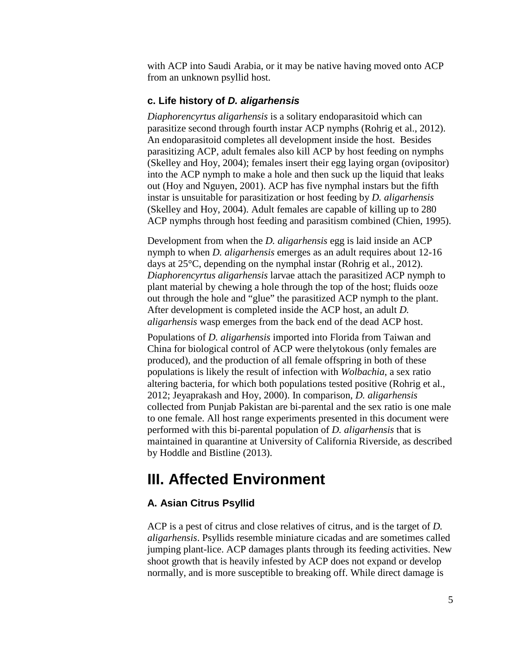with ACP into Saudi Arabia, or it may be native having moved onto ACP from an unknown psyllid host.

### **c. Life history of** *D. aligarhensis*

*Diaphorencyrtus aligarhensis* is a solitary endoparasitoid which can parasitize second through fourth instar ACP nymphs (Rohrig et al., 2012). An endoparasitoid completes all development inside the host. Besides parasitizing ACP, adult females also kill ACP by host feeding on nymphs (Skelley and Hoy, 2004); females insert their egg laying organ (ovipositor) into the ACP nymph to make a hole and then suck up the liquid that leaks out (Hoy and Nguyen, 2001). ACP has five nymphal instars but the fifth instar is unsuitable for parasitization or host feeding by *D. aligarhensis* (Skelley and Hoy, 2004). Adult females are capable of killing up to 280 ACP nymphs through host feeding and parasitism combined (Chien, 1995).

Development from when the *D. aligarhensis* egg is laid inside an ACP nymph to when *D. aligarhensis* emerges as an adult requires about 12-16 days at 25°C, depending on the nymphal instar (Rohrig et al., 2012). *Diaphorencyrtus aligarhensis* larvae attach the parasitized ACP nymph to plant material by chewing a hole through the top of the host; fluids ooze out through the hole and "glue" the parasitized ACP nymph to the plant. After development is completed inside the ACP host, an adult *D. aligarhensis* wasp emerges from the back end of the dead ACP host.

Populations of *D. aligarhensis* imported into Florida from Taiwan and China for biological control of ACP were thelytokous (only females are produced), and the production of all female offspring in both of these populations is likely the result of infection with *Wolbachia*, a sex ratio altering bacteria, for which both populations tested positive (Rohrig et al., 2012; Jeyaprakash and Hoy, 2000). In comparison, *D. aligarhensis* collected from Punjab Pakistan are bi-parental and the sex ratio is one male to one female. All host range experiments presented in this document were performed with this bi-parental population of *D. aligarhensis* that is maintained in quarantine at University of California Riverside, as described by Hoddle and Bistline (2013).

# **III. Affected Environment**

## **A. Asian Citrus Psyllid**

ACP is a pest of citrus and close relatives of citrus, and is the target of *D. aligarhensis*. Psyllids resemble miniature cicadas and are sometimes called jumping plant-lice. ACP damages plants through its feeding activities. New shoot growth that is heavily infested by ACP does not expand or develop normally, and is more susceptible to breaking off. While direct damage is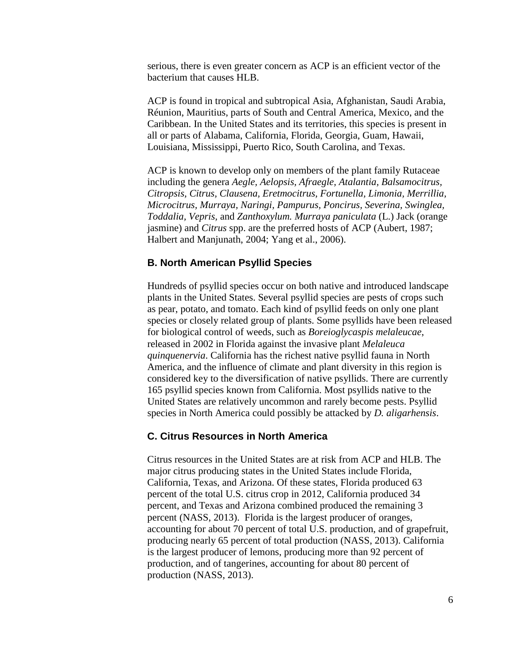serious, there is even greater concern as ACP is an efficient vector of the bacterium that causes HLB.

ACP is found in tropical and subtropical Asia, Afghanistan, Saudi Arabia, Réunion, Mauritius, parts of South and Central America, Mexico, and the Caribbean. In the United States and its territories, this species is present in all or parts of Alabama, California, Florida, Georgia, Guam, Hawaii, Louisiana, Mississippi, Puerto Rico, South Carolina, and Texas.

ACP is known to develop only on members of the plant family Rutaceae including the genera *Aegle, Aelopsis, Afraegle, Atalantia, Balsamocitrus, Citropsis, Citrus, Clausena, Eretmocitrus, Fortunella, Limonia, Merrillia, Microcitrus, Murraya, Naringi, Pampurus, Poncirus, Severina, Swinglea, Toddalia, Vepris,* and *Zanthoxylum. Murraya paniculata* (L.) Jack (orange jasmine) and *Citrus* spp. are the preferred hosts of ACP (Aubert, 1987; Halbert and Manjunath, 2004; Yang et al., 2006).

### **B. North American Psyllid Species**

Hundreds of psyllid species occur on both native and introduced landscape plants in the United States. Several psyllid species are pests of crops such as pear, potato, and tomato. Each kind of psyllid feeds on only one plant species or closely related group of plants. Some psyllids have been released for biological control of weeds, such as *Boreioglycaspis melaleucae*, released in 2002 in Florida against the invasive plant *Melaleuca quinquenervia*. California has the richest native psyllid fauna in North America, and the influence of climate and plant diversity in this region is considered key to the diversification of native psyllids. There are currently 165 psyllid species known from California. Most psyllids native to the United States are relatively uncommon and rarely become pests. Psyllid species in North America could possibly be attacked by *D. aligarhensis*.

#### **C. Citrus Resources in North America**

Citrus resources in the United States are at risk from ACP and HLB. The major citrus producing states in the United States include Florida, California, Texas, and Arizona. Of these states, Florida produced 63 percent of the total U.S. citrus crop in 2012, California produced 34 percent, and Texas and Arizona combined produced the remaining 3 percent (NASS, 2013). Florida is the largest producer of oranges, accounting for about 70 percent of total U.S. production, and of grapefruit, producing nearly 65 percent of total production (NASS, 2013). California is the largest producer of lemons, producing more than 92 percent of production, and of tangerines, accounting for about 80 percent of production (NASS, 2013).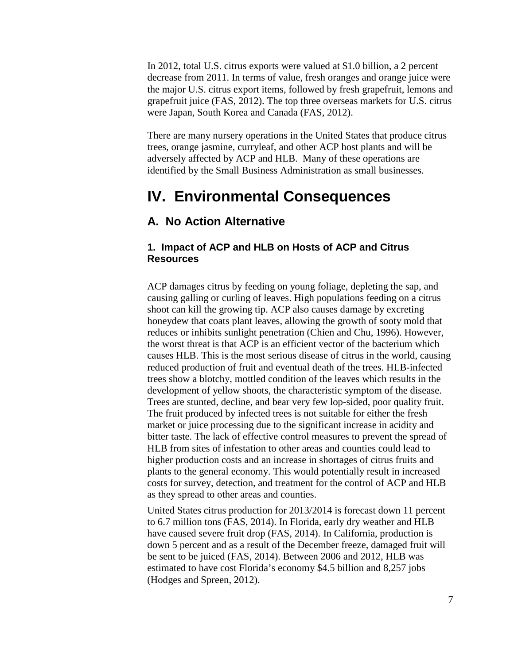In 2012, total U.S. citrus exports were valued at \$1.0 billion, a 2 percent decrease from 2011. In terms of value, fresh oranges and orange juice were the major U.S. citrus export items, followed by fresh grapefruit, lemons and grapefruit juice (FAS, 2012). The top three overseas markets for U.S. citrus were Japan, South Korea and Canada (FAS, 2012).

There are many nursery operations in the United States that produce citrus trees, orange jasmine, curryleaf, and other ACP host plants and will be adversely affected by ACP and HLB. Many of these operations are identified by the Small Business Administration as small businesses.

## **IV. Environmental Consequences**

## **A. No Action Alternative**

### **1. Impact of ACP and HLB on Hosts of ACP and Citrus Resources**

ACP damages citrus by feeding on young foliage, depleting the sap, and causing galling or curling of leaves. High populations feeding on a citrus shoot can kill the growing tip. ACP also causes damage by excreting honeydew that coats plant leaves, allowing the growth of sooty mold that reduces or inhibits sunlight penetration (Chien and Chu, 1996). However, the worst threat is that ACP is an efficient vector of the bacterium which causes HLB. This is the most serious disease of citrus in the world, causing reduced production of fruit and eventual death of the trees. HLB-infected trees show a blotchy, mottled condition of the leaves which results in the development of yellow shoots, the characteristic symptom of the disease. Trees are stunted, decline, and bear very few lop-sided, poor quality fruit. The fruit produced by infected trees is not suitable for either the fresh market or juice processing due to the significant increase in acidity and bitter taste. The lack of effective control measures to prevent the spread of HLB from sites of infestation to other areas and counties could lead to higher production costs and an increase in shortages of citrus fruits and plants to the general economy. This would potentially result in increased costs for survey, detection, and treatment for the control of ACP and HLB as they spread to other areas and counties.

United States citrus production for 2013/2014 is forecast down 11 percent to 6.7 million tons (FAS, 2014). In Florida, early dry weather and HLB have caused severe fruit drop (FAS, 2014). In California, production is down 5 percent and as a result of the December freeze, damaged fruit will be sent to be juiced (FAS, 2014). Between 2006 and 2012, HLB was estimated to have cost Florida's economy \$4.5 billion and 8,257 jobs (Hodges and Spreen, 2012).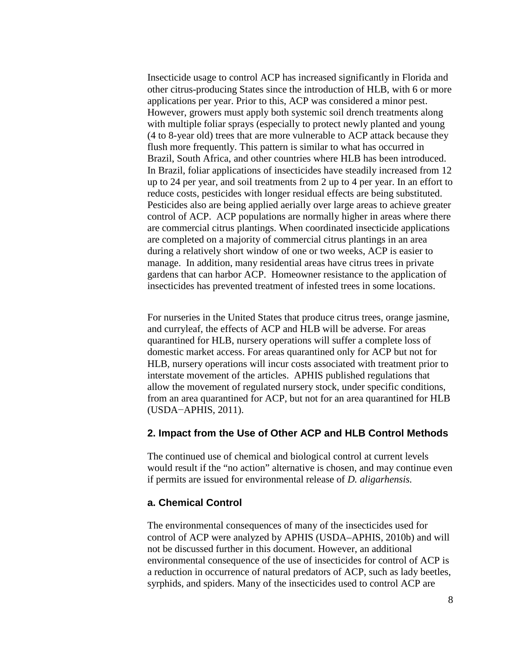Insecticide usage to control ACP has increased significantly in Florida and other citrus-producing States since the introduction of HLB, with 6 or more applications per year. Prior to this, ACP was considered a minor pest. However, growers must apply both systemic soil drench treatments along with multiple foliar sprays (especially to protect newly planted and young (4 to 8-year old) trees that are more vulnerable to ACP attack because they flush more frequently. This pattern is similar to what has occurred in Brazil, South Africa, and other countries where HLB has been introduced. In Brazil, foliar applications of insecticides have steadily increased from 12 up to 24 per year, and soil treatments from 2 up to 4 per year. In an effort to reduce costs, pesticides with longer residual effects are being substituted. Pesticides also are being applied aerially over large areas to achieve greater control of ACP. ACP populations are normally higher in areas where there are commercial citrus plantings. When coordinated insecticide applications are completed on a majority of commercial citrus plantings in an area during a relatively short window of one or two weeks, ACP is easier to manage. In addition, many residential areas have citrus trees in private gardens that can harbor ACP. Homeowner resistance to the application of insecticides has prevented treatment of infested trees in some locations.

For nurseries in the United States that produce citrus trees, orange jasmine, and curryleaf, the effects of ACP and HLB will be adverse. For areas quarantined for HLB, nursery operations will suffer a complete loss of domestic market access. For areas quarantined only for ACP but not for HLB, nursery operations will incur costs associated with treatment prior to interstate movement of the articles. APHIS published regulations that allow the movement of regulated nursery stock, under specific conditions, from an area quarantined for ACP, but not for an area quarantined for HLB (USDA−APHIS, 2011).

#### **2. Impact from the Use of Other ACP and HLB Control Methods**

The continued use of chemical and biological control at current levels would result if the "no action" alternative is chosen, and may continue even if permits are issued for environmental release of *D. aligarhensis.*

#### **a. Chemical Control**

The environmental consequences of many of the insecticides used for control of ACP were analyzed by APHIS (USDA–APHIS, 2010b) and will not be discussed further in this document. However, an additional environmental consequence of the use of insecticides for control of ACP is a reduction in occurrence of natural predators of ACP, such as lady beetles, syrphids, and spiders. Many of the insecticides used to control ACP are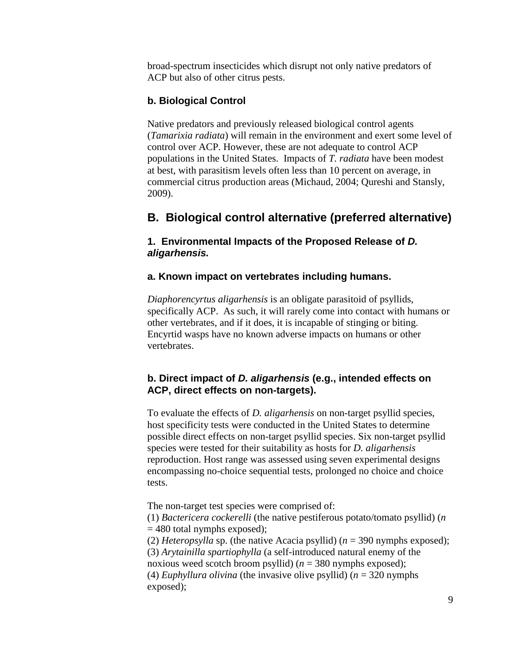broad-spectrum insecticides which disrupt not only native predators of ACP but also of other citrus pests.

### **b. Biological Control**

Native predators and previously released biological control agents (*Tamarixia radiata*) will remain in the environment and exert some level of control over ACP. However, these are not adequate to control ACP populations in the United States. Impacts of *T. radiata* have been modest at best, with parasitism levels often less than 10 percent on average, in commercial citrus production areas (Michaud, 2004; Qureshi and Stansly, 2009).

## **B. Biological control alternative (preferred alternative)**

### **1. Environmental Impacts of the Proposed Release of** *D. aligarhensis.*

### **a. Known impact on vertebrates including humans.**

*Diaphorencyrtus aligarhensis* is an obligate parasitoid of psyllids, specifically ACP. As such, it will rarely come into contact with humans or other vertebrates, and if it does, it is incapable of stinging or biting. Encyrtid wasps have no known adverse impacts on humans or other vertebrates.

### **b. Direct impact of** *D. aligarhensis* **(e.g., intended effects on ACP, direct effects on non-targets).**

To evaluate the effects of *D. aligarhensis* on non-target psyllid species, host specificity tests were conducted in the United States to determine possible direct effects on non-target psyllid species. Six non-target psyllid species were tested for their suitability as hosts for *D. aligarhensis*  reproduction. Host range was assessed using seven experimental designs encompassing no-choice sequential tests, prolonged no choice and choice tests.

The non-target test species were comprised of:

(1) *Bactericera cockerelli* (the native pestiferous potato/tomato psyllid) (*n*   $= 480$  total nymphs exposed);

(2) *Heteropsylla* sp. (the native Acacia psyllid) (*n* = 390 nymphs exposed); (3) *Arytainilla spartiophylla* (a self-introduced natural enemy of the noxious weed scotch broom psyllid) (*n* = 380 nymphs exposed); (4) *Euphyllura olivina* (the invasive olive psyllid)  $(n = 320$  nymphs exposed);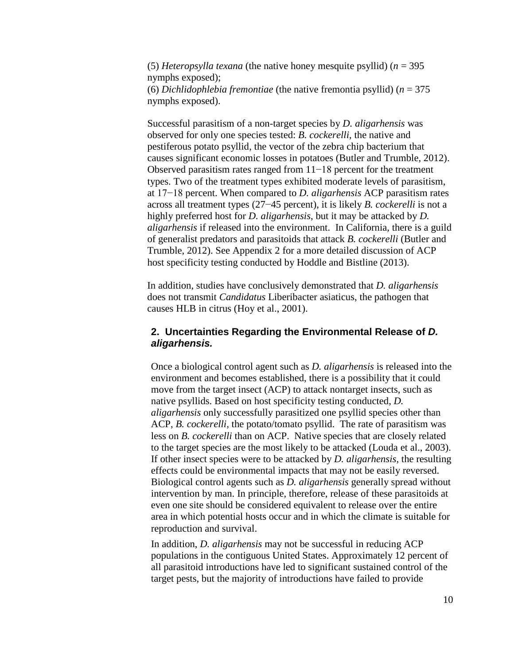(5) *Heteropsylla texana* (the native honey mesquite psyllid) (*n* = 395 nymphs exposed); (6) *Dichlidophlebia fremontiae* (the native fremontia psyllid) (*n* = 375 nymphs exposed).

Successful parasitism of a non-target species by *D. aligarhensis* was observed for only one species tested: *B. cockerelli*, the native and pestiferous potato psyllid, the vector of the zebra chip bacterium that causes significant economic losses in potatoes (Butler and Trumble, 2012). Observed parasitism rates ranged from 11−18 percent for the treatment types. Two of the treatment types exhibited moderate levels of parasitism, at 17−18 percent. When compared to *D. aligarhensis* ACP parasitism rates across all treatment types (27−45 percent), it is likely *B. cockerelli* is not a highly preferred host for *D. aligarhensis*, but it may be attacked by *D. aligarhensis* if released into the environment. In California, there is a guild of generalist predators and parasitoids that attack *B. cockerelli* (Butler and Trumble, 2012). See Appendix 2 for a more detailed discussion of ACP host specificity testing conducted by Hoddle and Bistline (2013).

In addition, studies have conclusively demonstrated that *D. aligarhensis*  does not transmit *Candidatus* Liberibacter asiaticus, the pathogen that causes HLB in citrus (Hoy et al., 2001).

### **2. Uncertainties Regarding the Environmental Release of** *D. aligarhensis.*

Once a biological control agent such as *D. aligarhensis* is released into the environment and becomes established, there is a possibility that it could move from the target insect (ACP) to attack nontarget insects, such as native psyllids. Based on host specificity testing conducted, *D. aligarhensis* only successfully parasitized one psyllid species other than ACP, *B. cockerelli,* the potato/tomato psyllid. The rate of parasitism was less on *B. cockerelli* than on ACP. Native species that are closely related to the target species are the most likely to be attacked (Louda et al., 2003). If other insect species were to be attacked by *D. aligarhensis*, the resulting effects could be environmental impacts that may not be easily reversed. Biological control agents such as *D. aligarhensis* generally spread without intervention by man. In principle, therefore, release of these parasitoids at even one site should be considered equivalent to release over the entire area in which potential hosts occur and in which the climate is suitable for reproduction and survival.

In addition, *D. aligarhensis* may not be successful in reducing ACP populations in the contiguous United States. Approximately 12 percent of all parasitoid introductions have led to significant sustained control of the target pests, but the majority of introductions have failed to provide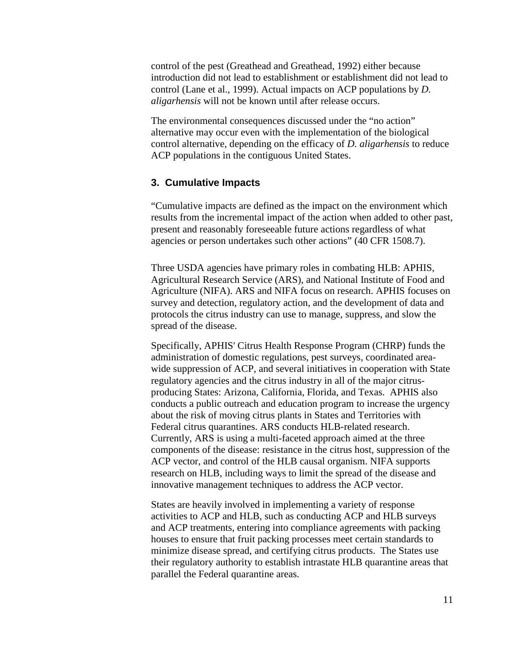control of the pest (Greathead and Greathead, 1992) either because introduction did not lead to establishment or establishment did not lead to control (Lane et al., 1999). Actual impacts on ACP populations by *D. aligarhensis* will not be known until after release occurs.

The environmental consequences discussed under the "no action" alternative may occur even with the implementation of the biological control alternative, depending on the efficacy of *D. aligarhensis* to reduce ACP populations in the contiguous United States.

### **3. Cumulative Impacts**

"Cumulative impacts are defined as the impact on the environment which results from the incremental impact of the action when added to other past, present and reasonably foreseeable future actions regardless of what agencies or person undertakes such other actions" (40 CFR 1508.7).

Three USDA agencies have primary roles in combating HLB: APHIS, Agricultural Research Service (ARS), and National Institute of Food and Agriculture (NIFA). ARS and NIFA focus on research. APHIS focuses on survey and detection, regulatory action, and the development of data and protocols the citrus industry can use to manage, suppress, and slow the spread of the disease.

Specifically, APHIS' Citrus Health Response Program (CHRP) funds the administration of domestic regulations, pest surveys, coordinated areawide suppression of ACP, and several initiatives in cooperation with State regulatory agencies and the citrus industry in all of the major citrusproducing States: Arizona, California, Florida, and Texas. APHIS also conducts a public outreach and education program to increase the urgency about the risk of moving citrus plants in States and Territories with Federal citrus quarantines. ARS conducts HLB-related research. Currently, ARS is using a multi-faceted approach aimed at the three components of the disease: resistance in the citrus host, suppression of the ACP vector, and control of the HLB causal organism. NIFA supports research on HLB, including ways to limit the spread of the disease and innovative management techniques to address the ACP vector.

States are heavily involved in implementing a variety of response activities to ACP and HLB, such as conducting ACP and HLB surveys and ACP treatments, entering into compliance agreements with packing houses to ensure that fruit packing processes meet certain standards to minimize disease spread, and certifying citrus products. The States use their regulatory authority to establish intrastate HLB quarantine areas that parallel the Federal quarantine areas.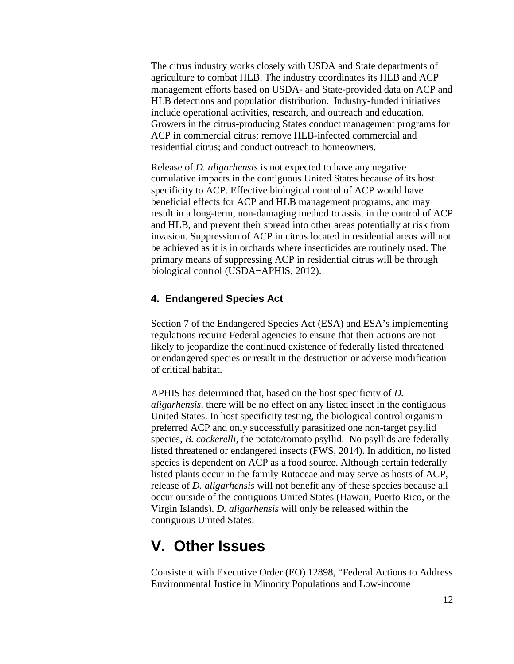The citrus industry works closely with USDA and State departments of agriculture to combat HLB. The industry coordinates its HLB and ACP management efforts based on USDA- and State-provided data on ACP and HLB detections and population distribution. Industry-funded initiatives include operational activities, research, and outreach and education. Growers in the citrus-producing States conduct management programs for ACP in commercial citrus; remove HLB-infected commercial and residential citrus; and conduct outreach to homeowners.

Release of *D. aligarhensis* is not expected to have any negative cumulative impacts in the contiguous United States because of its host specificity to ACP. Effective biological control of ACP would have beneficial effects for ACP and HLB management programs, and may result in a long-term, non-damaging method to assist in the control of ACP and HLB, and prevent their spread into other areas potentially at risk from invasion. Suppression of ACP in citrus located in residential areas will not be achieved as it is in orchards where insecticides are routinely used. The primary means of suppressing ACP in residential citrus will be through biological control (USDA−APHIS, 2012).

### **4. Endangered Species Act**

Section 7 of the Endangered Species Act (ESA) and ESA's implementing regulations require Federal agencies to ensure that their actions are not likely to jeopardize the continued existence of federally listed threatened or endangered species or result in the destruction or adverse modification of critical habitat.

APHIS has determined that, based on the host specificity of *D. aligarhensis,* there will be no effect on any listed insect in the contiguous United States. In host specificity testing, the biological control organism preferred ACP and only successfully parasitized one non-target psyllid species, *B. cockerelli,* the potato/tomato psyllid. No psyllids are federally listed threatened or endangered insects (FWS, 2014). In addition, no listed species is dependent on ACP as a food source. Although certain federally listed plants occur in the family Rutaceae and may serve as hosts of ACP, release of *D. aligarhensis* will not benefit any of these species because all occur outside of the contiguous United States (Hawaii, Puerto Rico, or the Virgin Islands). *D. aligarhensis* will only be released within the contiguous United States.

## **V. Other Issues**

Consistent with Executive Order (EO) 12898, "Federal Actions to Address Environmental Justice in Minority Populations and Low-income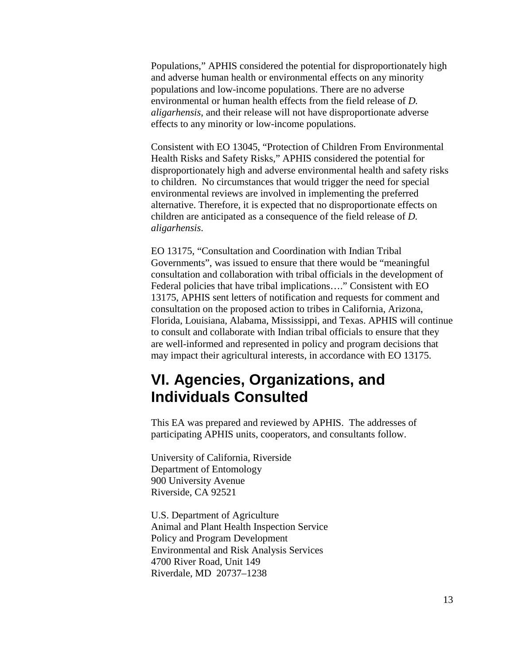Populations," APHIS considered the potential for disproportionately high and adverse human health or environmental effects on any minority populations and low-income populations. There are no adverse environmental or human health effects from the field release of *D. aligarhensis*, and their release will not have disproportionate adverse effects to any minority or low-income populations.

Consistent with EO 13045, "Protection of Children From Environmental Health Risks and Safety Risks," APHIS considered the potential for disproportionately high and adverse environmental health and safety risks to children. No circumstances that would trigger the need for special environmental reviews are involved in implementing the preferred alternative. Therefore, it is expected that no disproportionate effects on children are anticipated as a consequence of the field release of *D. aligarhensis*.

EO 13175, "Consultation and Coordination with Indian Tribal Governments", was issued to ensure that there would be "meaningful consultation and collaboration with tribal officials in the development of Federal policies that have tribal implications…." Consistent with EO 13175, APHIS sent letters of notification and requests for comment and consultation on the proposed action to tribes in California, Arizona, Florida, Louisiana, Alabama, Mississippi, and Texas. APHIS will continue to consult and collaborate with Indian tribal officials to ensure that they are well-informed and represented in policy and program decisions that may impact their agricultural interests, in accordance with EO 13175.

# **VI. Agencies, Organizations, and Individuals Consulted**

This EA was prepared and reviewed by APHIS. The addresses of participating APHIS units, cooperators, and consultants follow.

University of California, Riverside Department of Entomology 900 University Avenue Riverside, CA 92521

U.S. Department of Agriculture Animal and Plant Health Inspection Service Policy and Program Development Environmental and Risk Analysis Services 4700 River Road, Unit 149 Riverdale, MD 20737–1238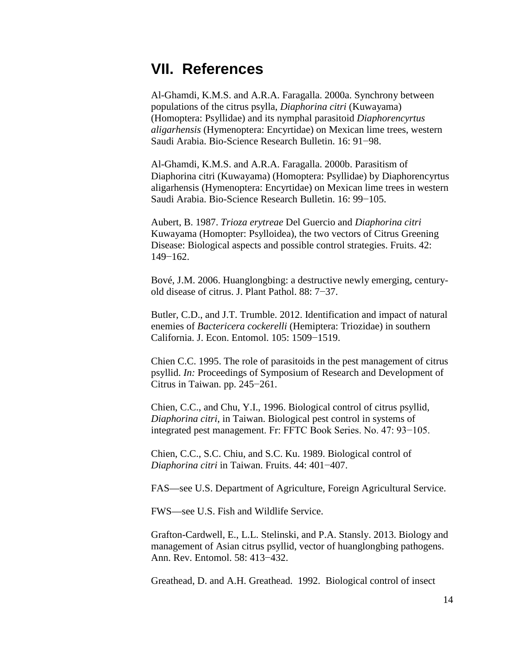# **VII. References**

Al-Ghamdi, K.M.S. and A.R.A. Faragalla. 2000a. Synchrony between populations of the citrus psylla, *Diaphorina citri* (Kuwayama) (Homoptera: Psyllidae) and its nymphal parasitoid *Diaphorencyrtus aligarhensis* (Hymenoptera: Encyrtidae) on Mexican lime trees, western Saudi Arabia. Bio-Science Research Bulletin. 16: 91−98.

Al-Ghamdi, K.M.S. and A.R.A. Faragalla. 2000b. Parasitism of Diaphorina citri (Kuwayama) (Homoptera: Psyllidae) by Diaphorencyrtus aligarhensis (Hymenoptera: Encyrtidae) on Mexican lime trees in western Saudi Arabia. Bio-Science Research Bulletin. 16: 99−105.

Aubert, B. 1987. *Trioza erytreae* Del Guercio and *Diaphorina citri*  Kuwayama (Homopter: Psylloidea), the two vectors of Citrus Greening Disease: Biological aspects and possible control strategies. Fruits. 42: 149−162.

Bové, J.M. 2006. Huanglongbing: a destructive newly emerging, centuryold disease of citrus. J. Plant Pathol. 88: 7−37.

Butler, C.D., and J.T. Trumble. 2012. Identification and impact of natural enemies of *Bactericera cockerelli* (Hemiptera: Triozidae) in southern California. J. Econ. Entomol. 105: 1509−1519.

Chien C.C. 1995. The role of parasitoids in the pest management of citrus psyllid. *In:* Proceedings of Symposium of Research and Development of Citrus in Taiwan. pp. 245−261.

Chien, C.C., and Chu, Y.I., 1996. Biological control of citrus psyllid, *Diaphorina citri*, in Taiwan. Biological pest control in systems of integrated pest management. Fr: FFTC Book Series. No. 47: 93−105.

Chien, C.C., S.C. Chiu, and S.C. Ku. 1989. Biological control of *Diaphorina citri* in Taiwan. Fruits. 44: 401−407.

FAS—see U.S. Department of Agriculture, Foreign Agricultural Service.

FWS—see U.S. Fish and Wildlife Service.

Grafton-Cardwell, E., L.L. Stelinski, and P.A. Stansly. 2013. Biology and management of Asian citrus psyllid, vector of huanglongbing pathogens. Ann. Rev. Entomol. 58: 413−432.

Greathead, D. and A.H. Greathead. 1992. Biological control of insect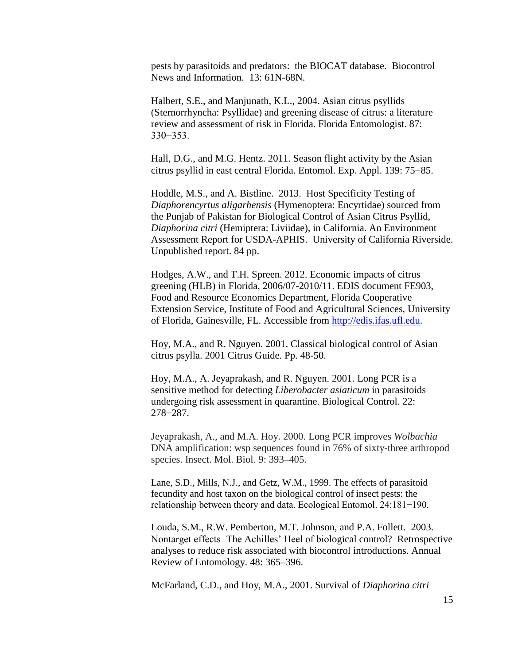pests by parasitoids and predators: the BIOCAT database. Biocontrol News and Information. 13: 61N-68N.

Halbert, S.E., and Manjunath, K.L., 2004. Asian citrus psyllids (Sternorrhyncha: Psyllidae) and greening disease of citrus: a literature review and assessment of risk in Florida. Florida Entomologist. 87: 330−353.

Hall, D.G., and M.G. Hentz. 2011. Season flight activity by the Asian citrus psyllid in east central Florida. Entomol. Exp. Appl. 139: 75−85.

Hoddle, M.S., and A. Bistline. 2013. Host Specificity Testing of *Diaphorencyrtus aligarhensis* (Hymenoptera: Encyrtidae) sourced from the Punjab of Pakistan for Biological Control of Asian Citrus Psyllid, *Diaphorina citri* (Hemiptera: Liviidae), in California. An Environment Assessment Report for USDA-APHIS. University of California Riverside. Unpublished report. 84 pp.

Hodges, A.W., and T.H. Spreen. 2012. Economic impacts of citrus greening (HLB) in Florida, 2006/07-2010/11. EDIS document FE903, Food and Resource Economics Department, Florida Cooperative Extension Service, Institute of Food and Agricultural Sciences, University of Florida, Gainesville, FL. Accessible from [http://edis.ifas.ufl.edu.](http://edis.ifas.ufl.edu/)

Hoy, M.A., and R. Nguyen. 2001. Classical biological control of Asian citrus psylla. 2001 Citrus Guide. Pp. 48-50.

Hoy, M.A., A. Jeyaprakash, and R. Nguyen. 2001. Long PCR is a sensitive method for detecting *Liberobacter asiaticum* in parasitoids undergoing risk assessment in quarantine. Biological Control. 22: 278−287.

Jeyaprakash, A., and M.A. Hoy. 2000. Long PCR improves *Wolbachia*  DNA amplification: wsp sequences found in 76% of sixty-three arthropod species. Insect. Mol. Biol. 9: 393–405.

Lane, S.D., Mills, N.J., and Getz, W.M., 1999. The effects of parasitoid fecundity and host taxon on the biological control of insect pests: the relationship between theory and data. Ecological Entomol. 24:181−190.

Louda, S.M., R.W. Pemberton, M.T. Johnson, and P.A. Follett. 2003. Nontarget effects−The Achilles' Heel of biological control? Retrospective analyses to reduce risk associated with biocontrol introductions. Annual Review of Entomology. 48: 365–396.

McFarland, C.D., and Hoy, M.A., 2001. Survival of *Diaphorina citri*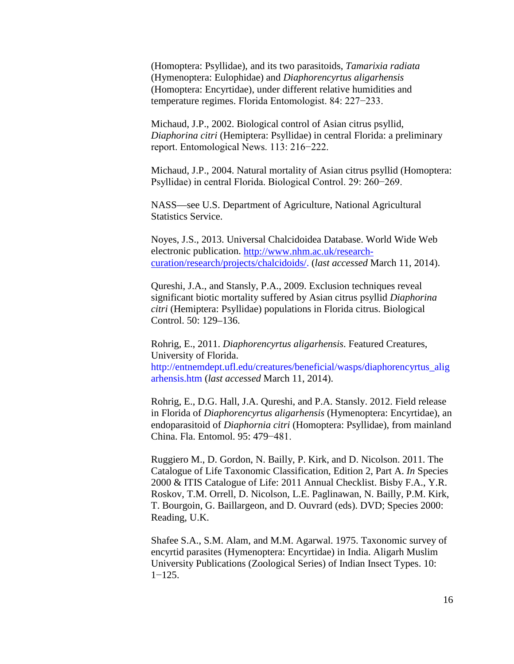(Homoptera: Psyllidae), and its two parasitoids, *Tamarixia radiata* (Hymenoptera: Eulophidae) and *Diaphorencyrtus aligarhensis* (Homoptera: Encyrtidae), under different relative humidities and temperature regimes. Florida Entomologist. 84: 227−233.

Michaud, J.P., 2002. Biological control of Asian citrus psyllid, *Diaphorina citri* (Hemiptera: Psyllidae) in central Florida: a preliminary report. Entomological News. 113: 216−222.

Michaud, J.P., 2004. Natural mortality of Asian citrus psyllid (Homoptera: Psyllidae) in central Florida. Biological Control. 29: 260−269.

NASS—see U.S. Department of Agriculture, National Agricultural Statistics Service.

Noyes, J.S., 2013. Universal Chalcidoidea Database. World Wide Web electronic publication. [http://www.nhm.ac.uk/research](http://www.nhm.ac.uk/research-curation/research/projects/chalcidoids/)[curation/research/projects/chalcidoids/.](http://www.nhm.ac.uk/research-curation/research/projects/chalcidoids/) (*last accessed* March 11, 2014).

Qureshi, J.A., and Stansly, P.A., 2009. Exclusion techniques reveal significant biotic mortality suffered by Asian citrus psyllid *Diaphorina citri* (Hemiptera: Psyllidae) populations in Florida citrus. Biological Control. 50: 129–136.

Rohrig, E., 2011. *Diaphorencyrtus aligarhensis*. Featured Creatures, University of Florida. http://entnemdept.ufl.edu/creatures/beneficial/wasps/diaphorencyrtus\_alig arhensis.htm (*last accessed* March 11, 2014).

Rohrig, E., D.G. Hall, J.A. Qureshi, and P.A. Stansly. 2012. Field release in Florida of *Diaphorencyrtus aligarhensis* (Hymenoptera: Encyrtidae), an endoparasitoid of *Diaphornia citri* (Homoptera: Psyllidae), from mainland China. Fla. Entomol. 95: 479−481.

Ruggiero M., D. Gordon, N. Bailly, P. Kirk, and D. Nicolson. 2011. The Catalogue of Life Taxonomic Classification, Edition 2, Part A. *In* Species 2000 & ITIS Catalogue of Life: 2011 Annual Checklist. Bisby F.A., Y.R. Roskov, T.M. Orrell, D. Nicolson, L.E. Paglinawan, N. Bailly, P.M. Kirk, T. Bourgoin, G. Baillargeon, and D. Ouvrard (eds). DVD; Species 2000: Reading, U.K.

Shafee S.A., S.M. Alam, and M.M. Agarwal. 1975. Taxonomic survey of encyrtid parasites (Hymenoptera: Encyrtidae) in India. Aligarh Muslim University Publications (Zoological Series) of Indian Insect Types. 10: 1−125.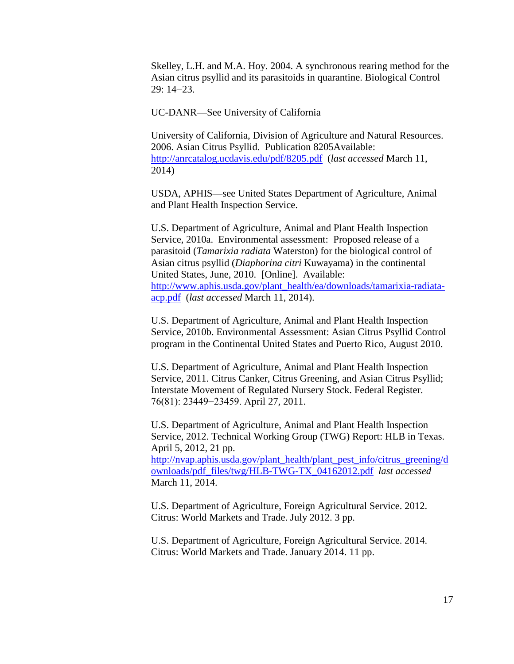Skelley, L.H. and M.A. Hoy. 2004. A synchronous rearing method for the Asian citrus psyllid and its parasitoids in quarantine. Biological Control 29: 14−23.

UC-DANR—See University of California

University of California, Division of Agriculture and Natural Resources. 2006. Asian Citrus Psyllid. Publication 8205Available: <http://anrcatalog.ucdavis.edu/pdf/8205.pdf> (*last accessed* March 11, 2014)

USDA, APHIS—see United States Department of Agriculture, Animal and Plant Health Inspection Service.

U.S. Department of Agriculture, Animal and Plant Health Inspection Service, 2010a. Environmental assessment: Proposed release of a parasitoid (*Tamarixia radiata* Waterston) for the biological control of Asian citrus psyllid (*Diaphorina citri* Kuwayama) in the continental United States, June, 2010. [Online]. Available: [http://www.aphis.usda.gov/plant\\_health/ea/downloads/tamarixia-radiata](http://www.aphis.usda.gov/plant_health/ea/downloads/tamarixia-radiata-acp.pdf)[acp.pdf](http://www.aphis.usda.gov/plant_health/ea/downloads/tamarixia-radiata-acp.pdf) (*last accessed* March 11, 2014).

U.S. Department of Agriculture, Animal and Plant Health Inspection Service, 2010b. Environmental Assessment: Asian Citrus Psyllid Control program in the Continental United States and Puerto Rico, August 2010.

U.S. Department of Agriculture, Animal and Plant Health Inspection Service, 2011. Citrus Canker, Citrus Greening, and Asian Citrus Psyllid; Interstate Movement of Regulated Nursery Stock. Federal Register. 76(81): 23449−23459. April 27, 2011.

U.S. Department of Agriculture, Animal and Plant Health Inspection Service, 2012. Technical Working Group (TWG) Report: HLB in Texas. April 5, 2012, 21 pp. [http://nvap.aphis.usda.gov/plant\\_health/plant\\_pest\\_info/citrus\\_greening/d](http://nvap.aphis.usda.gov/plant_health/plant_pest_info/citrus_greening/downloads/pdf_files/twg/HLB-TWG-TX_04162012.pdf) [ownloads/pdf\\_files/twg/HLB-TWG-TX\\_04162012.pdf](http://nvap.aphis.usda.gov/plant_health/plant_pest_info/citrus_greening/downloads/pdf_files/twg/HLB-TWG-TX_04162012.pdf) *last accessed*  March 11, 2014.

U.S. Department of Agriculture, Foreign Agricultural Service. 2012. Citrus: World Markets and Trade. July 2012. 3 pp.

U.S. Department of Agriculture, Foreign Agricultural Service. 2014. Citrus: World Markets and Trade. January 2014. 11 pp.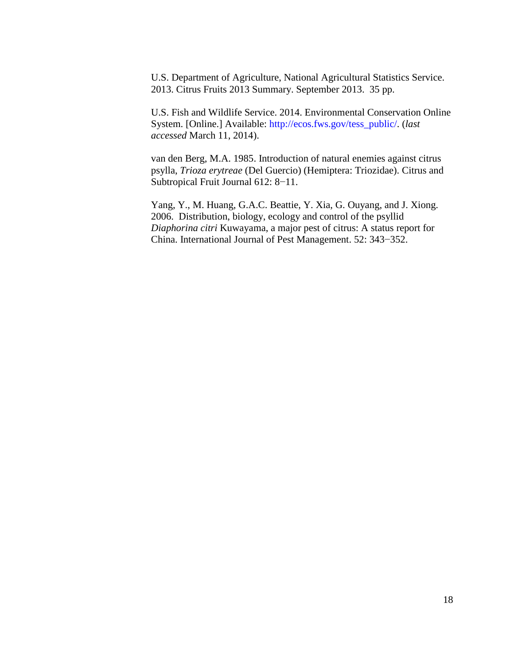U.S. Department of Agriculture, National Agricultural Statistics Service. 2013. Citrus Fruits 2013 Summary. September 2013. 35 pp.

U.S. Fish and Wildlife Service. 2014. Environmental Conservation Online System. [Online.] Available: http://ecos.fws.gov/tess\_public/. (*last accessed* March 11, 2014).

van den Berg, M.A. 1985. Introduction of natural enemies against citrus psylla, *Trioza erytreae* (Del Guercio) (Hemiptera: Triozidae). Citrus and Subtropical Fruit Journal 612: 8−11.

Yang, Y., M. Huang, G.A.C. Beattie, Y. Xia, G. Ouyang, and J. Xiong. 2006. Distribution, biology, ecology and control of the psyllid *Diaphorina citri* Kuwayama, a major pest of citrus: A status report for China. International Journal of Pest Management. 52: 343−352.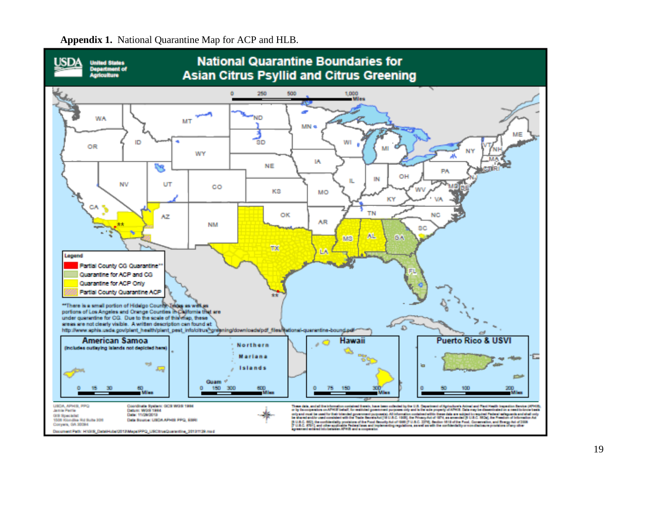

**Appendix 1.** National Quarantine Map for ACP and HLB.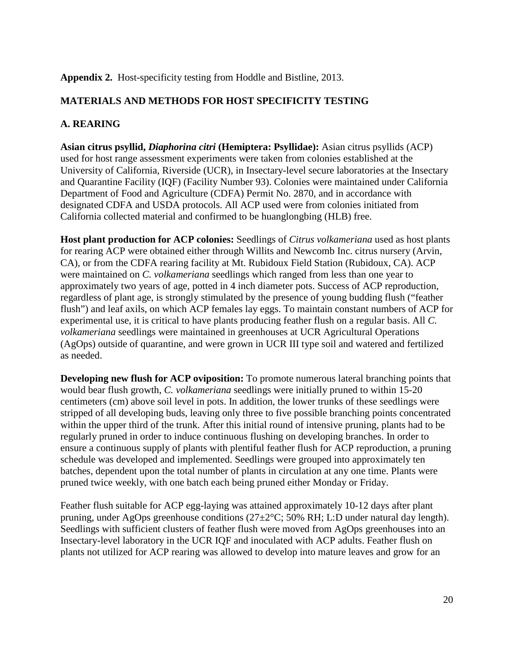### **Appendix 2.** Host-specificity testing from Hoddle and Bistline, 2013.

### **MATERIALS AND METHODS FOR HOST SPECIFICITY TESTING**

### **A. REARING**

**Asian citrus psyllid,** *Diaphorina citri* **(Hemiptera: Psyllidae):** Asian citrus psyllids (ACP) used for host range assessment experiments were taken from colonies established at the University of California, Riverside (UCR), in Insectary-level secure laboratories at the Insectary and Quarantine Facility (IQF) (Facility Number 93). Colonies were maintained under California Department of Food and Agriculture (CDFA) Permit No. 2870, and in accordance with designated CDFA and USDA protocols. All ACP used were from colonies initiated from California collected material and confirmed to be huanglongbing (HLB) free.

**Host plant production for ACP colonies:** Seedlings of *Citrus volkameriana* used as host plants for rearing ACP were obtained either through Willits and Newcomb Inc. citrus nursery (Arvin, CA), or from the CDFA rearing facility at Mt. Rubidoux Field Station (Rubidoux, CA). ACP were maintained on *C. volkameriana* seedlings which ranged from less than one year to approximately two years of age, potted in 4 inch diameter pots. Success of ACP reproduction, regardless of plant age, is strongly stimulated by the presence of young budding flush ("feather flush") and leaf axils, on which ACP females lay eggs. To maintain constant numbers of ACP for experimental use, it is critical to have plants producing feather flush on a regular basis. All *C. volkameriana* seedlings were maintained in greenhouses at UCR Agricultural Operations (AgOps) outside of quarantine, and were grown in UCR III type soil and watered and fertilized as needed.

**Developing new flush for ACP oviposition:** To promote numerous lateral branching points that would bear flush growth, *C. volkameriana* seedlings were initially pruned to within 15-20 centimeters (cm) above soil level in pots. In addition, the lower trunks of these seedlings were stripped of all developing buds, leaving only three to five possible branching points concentrated within the upper third of the trunk. After this initial round of intensive pruning, plants had to be regularly pruned in order to induce continuous flushing on developing branches. In order to ensure a continuous supply of plants with plentiful feather flush for ACP reproduction, a pruning schedule was developed and implemented. Seedlings were grouped into approximately ten batches, dependent upon the total number of plants in circulation at any one time. Plants were pruned twice weekly, with one batch each being pruned either Monday or Friday.

Feather flush suitable for ACP egg-laying was attained approximately 10-12 days after plant pruning, under AgOps greenhouse conditions (27±2°C; 50% RH; L:D under natural day length). Seedlings with sufficient clusters of feather flush were moved from AgOps greenhouses into an Insectary-level laboratory in the UCR IQF and inoculated with ACP adults. Feather flush on plants not utilized for ACP rearing was allowed to develop into mature leaves and grow for an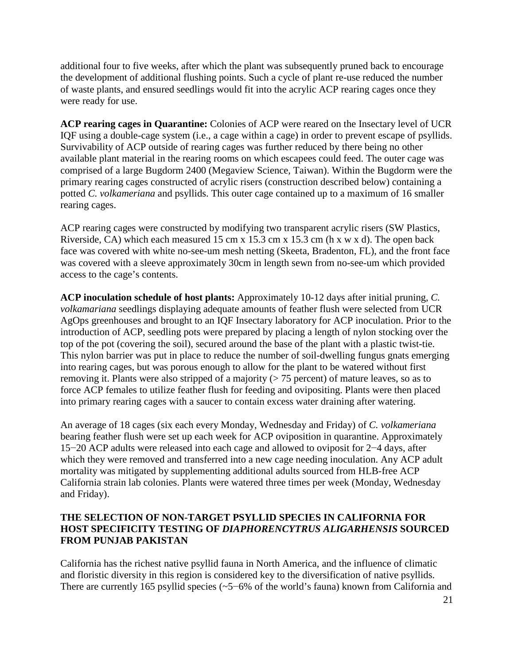additional four to five weeks, after which the plant was subsequently pruned back to encourage the development of additional flushing points. Such a cycle of plant re-use reduced the number of waste plants, and ensured seedlings would fit into the acrylic ACP rearing cages once they were ready for use.

**ACP rearing cages in Quarantine:** Colonies of ACP were reared on the Insectary level of UCR IQF using a double-cage system (i.e., a cage within a cage) in order to prevent escape of psyllids. Survivability of ACP outside of rearing cages was further reduced by there being no other available plant material in the rearing rooms on which escapees could feed. The outer cage was comprised of a large Bugdorm 2400 (Megaview Science, Taiwan). Within the Bugdorm were the primary rearing cages constructed of acrylic risers (construction described below) containing a potted *C. volkameriana* and psyllids. This outer cage contained up to a maximum of 16 smaller rearing cages.

ACP rearing cages were constructed by modifying two transparent acrylic risers (SW Plastics, Riverside, CA) which each measured 15 cm x 15.3 cm x 15.3 cm (h x w x d). The open back face was covered with white no-see-um mesh netting (Skeeta, Bradenton, FL), and the front face was covered with a sleeve approximately 30cm in length sewn from no-see-um which provided access to the cage's contents.

**ACP inoculation schedule of host plants:** Approximately 10-12 days after initial pruning, *C. volkamariana* seedlings displaying adequate amounts of feather flush were selected from UCR AgOps greenhouses and brought to an IQF Insectary laboratory for ACP inoculation. Prior to the introduction of ACP, seedling pots were prepared by placing a length of nylon stocking over the top of the pot (covering the soil), secured around the base of the plant with a plastic twist-tie. This nylon barrier was put in place to reduce the number of soil-dwelling fungus gnats emerging into rearing cages, but was porous enough to allow for the plant to be watered without first removing it. Plants were also stripped of a majority  $(> 75$  percent) of mature leaves, so as to force ACP females to utilize feather flush for feeding and ovipositing. Plants were then placed into primary rearing cages with a saucer to contain excess water draining after watering.

An average of 18 cages (six each every Monday, Wednesday and Friday) of *C. volkameriana*  bearing feather flush were set up each week for ACP oviposition in quarantine. Approximately 15−20 ACP adults were released into each cage and allowed to oviposit for 2−4 days, after which they were removed and transferred into a new cage needing inoculation. Any ACP adult mortality was mitigated by supplementing additional adults sourced from HLB-free ACP California strain lab colonies. Plants were watered three times per week (Monday, Wednesday and Friday).

### **THE SELECTION OF NON-TARGET PSYLLID SPECIES IN CALIFORNIA FOR HOST SPECIFICITY TESTING OF** *DIAPHORENCYTRUS ALIGARHENSIS* **SOURCED FROM PUNJAB PAKISTAN**

California has the richest native psyllid fauna in North America, and the influence of climatic and floristic diversity in this region is considered key to the diversification of native psyllids. There are currently 165 psyllid species (~5−6% of the world's fauna) known from California and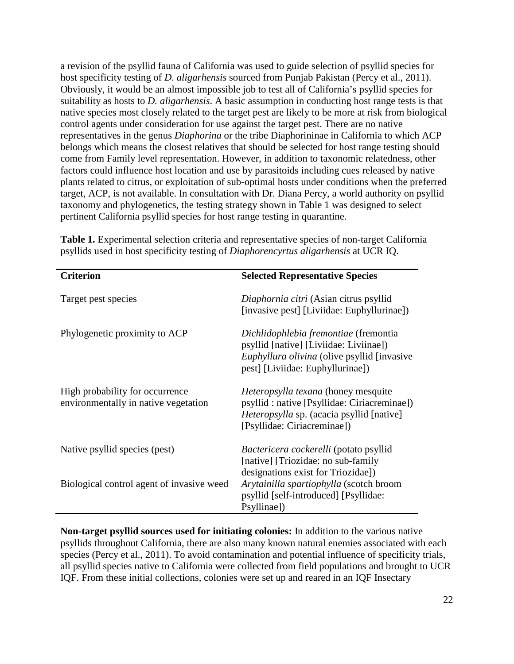a revision of the psyllid fauna of California was used to guide selection of psyllid species for host specificity testing of *D. aligarhensis* sourced from Punjab Pakistan (Percy et al., 2011). Obviously, it would be an almost impossible job to test all of California's psyllid species for suitability as hosts to *D. aligarhensis*. A basic assumption in conducting host range tests is that native species most closely related to the target pest are likely to be more at risk from biological control agents under consideration for use against the target pest. There are no native representatives in the genus *Diaphorina* or the tribe Diaphorininae in California to which ACP belongs which means the closest relatives that should be selected for host range testing should come from Family level representation. However, in addition to taxonomic relatedness, other factors could influence host location and use by parasitoids including cues released by native plants related to citrus, or exploitation of sub-optimal hosts under conditions when the preferred target, ACP, is not available. In consultation with Dr. Diana Percy, a world authority on psyllid taxonomy and phylogenetics, the testing strategy shown in Table 1 was designed to select pertinent California psyllid species for host range testing in quarantine.

| <b>Criterion</b>                                                        | <b>Selected Representative Species</b>                                                                                                                                        |
|-------------------------------------------------------------------------|-------------------------------------------------------------------------------------------------------------------------------------------------------------------------------|
| Target pest species                                                     | Diaphornia citri (Asian citrus psyllid<br>[invasive pest] [Liviidae: Euphyllurinae])                                                                                          |
| Phylogenetic proximity to ACP                                           | Dichlidophlebia fremontiae (fremontia<br>psyllid [native] [Liviidae: Liviinae])<br><i>Euphyllura olivina</i> (olive psyllid [invasive]<br>pest] [Liviidae: Euphyllurinae])    |
| High probability for occurrence<br>environmentally in native vegetation | <i>Heteropsylla texana</i> (honey mesquite<br>psyllid : native [Psyllidae: Ciriacreminae])<br><i>Heteropsylla</i> sp. (acacia psyllid [native]<br>[Psyllidae: Ciriacreminae]) |
| Native psyllid species (pest)                                           | Bactericera cockerelli (potato psyllid<br>[native] [Triozidae: no sub-family<br>designations exist for Triozidae])                                                            |
| Biological control agent of invasive weed                               | Arytainilla spartiophylla (scotch broom<br>psyllid [self-introduced] [Psyllidae:<br>Psyllinae])                                                                               |

**Table 1.** Experimental selection criteria and representative species of non-target California psyllids used in host specificity testing of *Diaphorencyrtus aligarhensis* at UCR IQ.

**Non-target psyllid sources used for initiating colonies:** In addition to the various native psyllids throughout California, there are also many known natural enemies associated with each species (Percy et al., 2011). To avoid contamination and potential influence of specificity trials, all psyllid species native to California were collected from field populations and brought to UCR IQF. From these initial collections, colonies were set up and reared in an IQF Insectary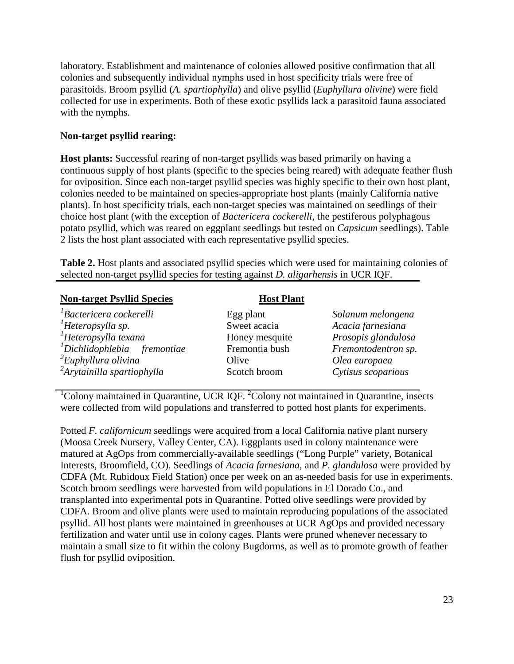laboratory. Establishment and maintenance of colonies allowed positive confirmation that all colonies and subsequently individual nymphs used in host specificity trials were free of parasitoids. Broom psyllid (*A. spartiophylla*) and olive psyllid (*Euphyllura olivine*) were field collected for use in experiments. Both of these exotic psyllids lack a parasitoid fauna associated with the nymphs.

### **Non-target psyllid rearing:**

**Host plants:** Successful rearing of non-target psyllids was based primarily on having a continuous supply of host plants (specific to the species being reared) with adequate feather flush for oviposition. Since each non-target psyllid species was highly specific to their own host plant, colonies needed to be maintained on species-appropriate host plants (mainly California native plants). In host specificity trials, each non-target species was maintained on seedlings of their choice host plant (with the exception of *Bactericera cockerelli*, the pestiferous polyphagous potato psyllid, which was reared on eggplant seedlings but tested on *Capsicum* seedlings). Table 2 lists the host plant associated with each representative psyllid species.

**Table 2.** Host plants and associated psyllid species which were used for maintaining colonies of selected non-target psyllid species for testing against *D. aligarhensis* in UCR IQF.

| <b>Non-target Psyllid Species</b>                | <b>Host Plant</b> |                     |
|--------------------------------------------------|-------------------|---------------------|
| <sup>1</sup> Bactericera cockerelli              | Egg plant         | Solanum melongena   |
| $Heteropy$ lla sp.                               | Sweet acacia      | Acacia farnesiana   |
| $H$ eteropsylla texana                           | Honey mesquite    | Prosopis glandulosa |
| $\Delta$ <sup>1</sup> Dichlidophlebia fremontiae | Fremontia bush    | Fremontodentron sp. |
| ${}^{2}E$ uphyllura olivina                      | Olive             | Olea europaea       |
| <sup>2</sup> Arytainilla spartiophylla           | Scotch broom      | Cytisus scoparious  |

 ${}^{1}$ Colony maintained in Quarantine, UCR IQF.  ${}^{2}$ Colony not maintained in Quarantine, insects were collected from wild populations and transferred to potted host plants for experiments.

Potted *F. californicum* seedlings were acquired from a local California native plant nursery (Moosa Creek Nursery, Valley Center, CA). Eggplants used in colony maintenance were matured at AgOps from commercially-available seedlings ("Long Purple" variety, Botanical Interests, Broomfield, CO). Seedlings of *Acacia farnesiana*, and *P. glandulosa* were provided by CDFA (Mt. Rubidoux Field Station) once per week on an as-needed basis for use in experiments. Scotch broom seedlings were harvested from wild populations in El Dorado Co., and transplanted into experimental pots in Quarantine. Potted olive seedlings were provided by CDFA. Broom and olive plants were used to maintain reproducing populations of the associated psyllid. All host plants were maintained in greenhouses at UCR AgOps and provided necessary fertilization and water until use in colony cages. Plants were pruned whenever necessary to maintain a small size to fit within the colony Bugdorms, as well as to promote growth of feather flush for psyllid oviposition.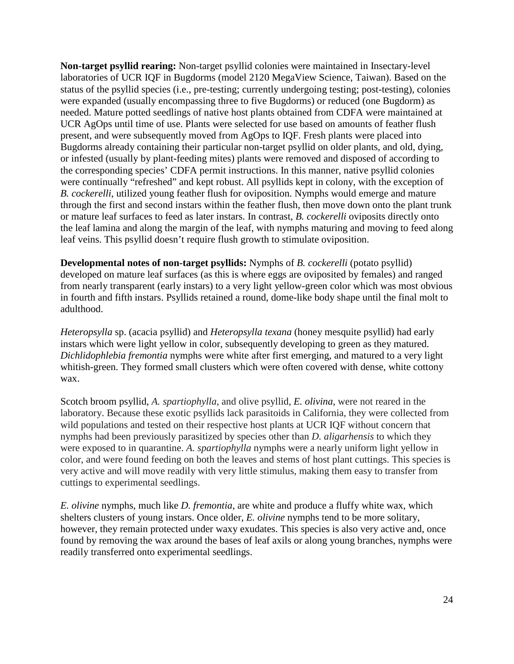**Non-target psyllid rearing:** Non-target psyllid colonies were maintained in Insectary-level laboratories of UCR IQF in Bugdorms (model 2120 MegaView Science, Taiwan). Based on the status of the psyllid species (i.e., pre-testing; currently undergoing testing; post-testing), colonies were expanded (usually encompassing three to five Bugdorms) or reduced (one Bugdorm) as needed. Mature potted seedlings of native host plants obtained from CDFA were maintained at UCR AgOps until time of use. Plants were selected for use based on amounts of feather flush present, and were subsequently moved from AgOps to IQF. Fresh plants were placed into Bugdorms already containing their particular non-target psyllid on older plants, and old, dying, or infested (usually by plant-feeding mites) plants were removed and disposed of according to the corresponding species' CDFA permit instructions. In this manner, native psyllid colonies were continually "refreshed" and kept robust. All psyllids kept in colony, with the exception of *B. cockerelli*, utilized young feather flush for oviposition. Nymphs would emerge and mature through the first and second instars within the feather flush, then move down onto the plant trunk or mature leaf surfaces to feed as later instars. In contrast, *B. cockerelli* oviposits directly onto the leaf lamina and along the margin of the leaf, with nymphs maturing and moving to feed along leaf veins. This psyllid doesn't require flush growth to stimulate oviposition.

**Developmental notes of non-target psyllids:** Nymphs of *B. cockerelli* (potato psyllid) developed on mature leaf surfaces (as this is where eggs are oviposited by females) and ranged from nearly transparent (early instars) to a very light yellow-green color which was most obvious in fourth and fifth instars. Psyllids retained a round, dome-like body shape until the final molt to adulthood.

*Heteropsylla* sp. (acacia psyllid) and *Heteropsylla texana* (honey mesquite psyllid) had early instars which were light yellow in color, subsequently developing to green as they matured. *Dichlidophlebia fremontia* nymphs were white after first emerging, and matured to a very light whitish-green. They formed small clusters which were often covered with dense, white cottony wax.

Scotch broom psyllid, *A. spartiophylla*, and olive psyllid, *E. olivina*, were not reared in the laboratory. Because these exotic psyllids lack parasitoids in California, they were collected from wild populations and tested on their respective host plants at UCR IQF without concern that nymphs had been previously parasitized by species other than *D. aligarhensis* to which they were exposed to in quarantine. *A. spartiophylla* nymphs were a nearly uniform light yellow in color, and were found feeding on both the leaves and stems of host plant cuttings. This species is very active and will move readily with very little stimulus, making them easy to transfer from cuttings to experimental seedlings.

*E. olivine* nymphs, much like *D. fremontia*, are white and produce a fluffy white wax, which shelters clusters of young instars. Once older, *E. olivine* nymphs tend to be more solitary, however, they remain protected under waxy exudates. This species is also very active and, once found by removing the wax around the bases of leaf axils or along young branches, nymphs were readily transferred onto experimental seedlings.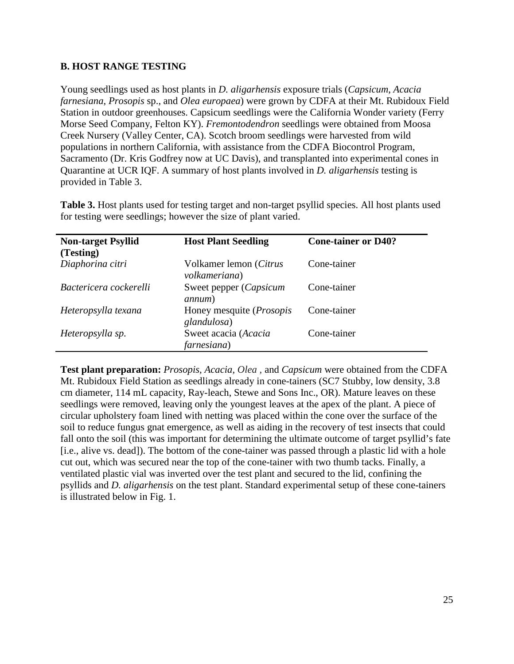### **B. HOST RANGE TESTING**

Young seedlings used as host plants in *D. aligarhensis* exposure trials (*Capsicum*, *Acacia farnesiana*, *Prosopis* sp., and *Olea europaea*) were grown by CDFA at their Mt. Rubidoux Field Station in outdoor greenhouses. Capsicum seedlings were the California Wonder variety (Ferry Morse Seed Company, Felton KY). *Fremontodendron* seedlings were obtained from Moosa Creek Nursery (Valley Center, CA). Scotch broom seedlings were harvested from wild populations in northern California, with assistance from the CDFA Biocontrol Program, Sacramento (Dr. Kris Godfrey now at UC Davis), and transplanted into experimental cones in Quarantine at UCR IQF. A summary of host plants involved in *D. aligarhensis* testing is provided in Table 3.

| <b>Non-target Psyllid</b> | <b>Host Plant Seedling</b>                      | <b>Cone-tainer or D40?</b> |
|---------------------------|-------------------------------------------------|----------------------------|
| (Testing)                 |                                                 |                            |
| Diaphorina citri          | Volkamer lemon (Citrus<br>volkameriana)         | Cone-tainer                |
| Bactericera cockerelli    | Sweet pepper (Capsicum<br>annum)                | Cone-tainer                |
| Heteropsylla texana       | Honey mesquite ( <i>Prosopis</i><br>glandulosa) | Cone-tainer                |
| Heteropsylla sp.          | Sweet acacia (Acacia<br>farnesiana)             | Cone-tainer                |

**Table 3.** Host plants used for testing target and non-target psyllid species. All host plants used for testing were seedlings; however the size of plant varied.

**Test plant preparation:** *Prosopis, Acacia, Olea ,* and *Capsicum* were obtained from the CDFA Mt. Rubidoux Field Station as seedlings already in cone-tainers (SC7 Stubby, low density, 3.8 cm diameter, 114 mL capacity, Ray-leach, Stewe and Sons Inc., OR). Mature leaves on these seedlings were removed, leaving only the youngest leaves at the apex of the plant. A piece of circular upholstery foam lined with netting was placed within the cone over the surface of the soil to reduce fungus gnat emergence, as well as aiding in the recovery of test insects that could fall onto the soil (this was important for determining the ultimate outcome of target psyllid's fate [i.e., alive vs. dead]). The bottom of the cone-tainer was passed through a plastic lid with a hole cut out, which was secured near the top of the cone-tainer with two thumb tacks. Finally, a ventilated plastic vial was inverted over the test plant and secured to the lid, confining the psyllids and *D. aligarhensis* on the test plant. Standard experimental setup of these cone-tainers is illustrated below in Fig. 1.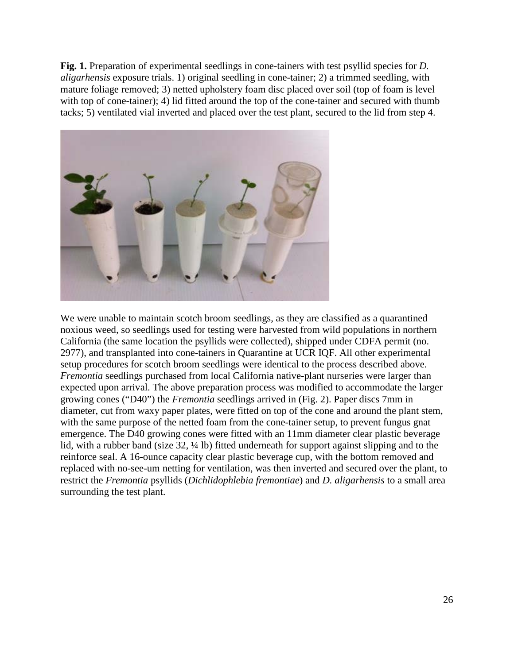Fig. 1. Preparation of experimental seedlings in cone-tainers with test psyllid species for *D*. *aligarhensis* exposure trials. 1) original seedling in cone-tainer; 2) a trimmed seedling, with mature foliage removed; 3) netted upholstery foam disc placed over soil (top of foam is level with top of cone-tainer); 4) lid fitted around the top of the cone-tainer and secured with thumb tacks; 5) ventilated vial inverted and placed over the test plant, secured to the lid from step 4.



We were unable to maintain scotch broom seedlings, as they are classified as a quarantined noxious weed, so seedlings used for testing were harvested from wild populations in northern California (the same location the psyllids were collected), shipped under CDFA permit (no. 2977), and transplanted into cone-tainers in Quarantine at UCR IQF. All other experimental setup procedures for scotch broom seedlings were identical to the process described above. *Fremontia* seedlings purchased from local California native-plant nurseries were larger than expected upon arrival. The above preparation process was modified to accommodate the larger growing cones ("D40") the *Fremontia* seedlings arrived in (Fig. 2). Paper discs 7mm in diameter, cut from waxy paper plates, were fitted on top of the cone and around the plant stem, with the same purpose of the netted foam from the cone-tainer setup, to prevent fungus gnat emergence. The D40 growing cones were fitted with an 11mm diameter clear plastic beverage lid, with a rubber band (size 32,  $\frac{1}{4}$  lb) fitted underneath for support against slipping and to the reinforce seal. A 16-ounce capacity clear plastic beverage cup, with the bottom removed and replaced with no-see-um netting for ventilation, was then inverted and secured over the plant, to restrict the *Fremontia* psyllids (*Dichlidophlebia fremontiae*) and *D. aligarhensis* to a small area surrounding the test plant.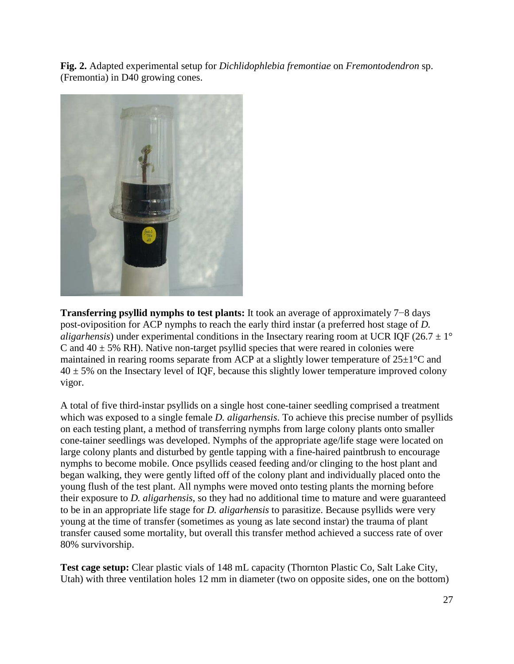**Fig. 2.** Adapted experimental setup for *Dichlidophlebia fremontiae* on *Fremontodendron* sp. (Fremontia) in D40 growing cones.



**Transferring psyllid nymphs to test plants:** It took an average of approximately 7−8 days post-oviposition for ACP nymphs to reach the early third instar (a preferred host stage of *D. aligarhensis*) under experimental conditions in the Insectary rearing room at UCR IQF (26.7  $\pm$  1° C and  $40 \pm 5\%$  RH). Native non-target psyllid species that were reared in colonies were maintained in rearing rooms separate from ACP at a slightly lower temperature of  $25\pm1^{\circ}$ C and  $40 \pm 5\%$  on the Insectary level of IQF, because this slightly lower temperature improved colony vigor.

A total of five third-instar psyllids on a single host cone-tainer seedling comprised a treatment which was exposed to a single female *D. aligarhensis*. To achieve this precise number of psyllids on each testing plant, a method of transferring nymphs from large colony plants onto smaller cone-tainer seedlings was developed. Nymphs of the appropriate age/life stage were located on large colony plants and disturbed by gentle tapping with a fine-haired paintbrush to encourage nymphs to become mobile. Once psyllids ceased feeding and/or clinging to the host plant and began walking, they were gently lifted off of the colony plant and individually placed onto the young flush of the test plant. All nymphs were moved onto testing plants the morning before their exposure to *D. aligarhensis*, so they had no additional time to mature and were guaranteed to be in an appropriate life stage for *D. aligarhensis* to parasitize. Because psyllids were very young at the time of transfer (sometimes as young as late second instar) the trauma of plant transfer caused some mortality, but overall this transfer method achieved a success rate of over 80% survivorship.

**Test cage setup:** Clear plastic vials of 148 mL capacity (Thornton Plastic Co, Salt Lake City, Utah) with three ventilation holes 12 mm in diameter (two on opposite sides, one on the bottom)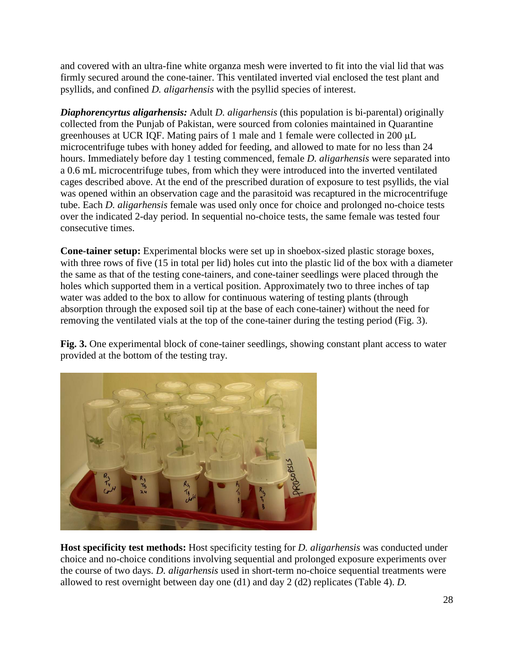and covered with an ultra-fine white organza mesh were inverted to fit into the vial lid that was firmly secured around the cone-tainer. This ventilated inverted vial enclosed the test plant and psyllids, and confined *D. aligarhensis* with the psyllid species of interest.

*Diaphorencyrtus aligarhensis:* Adult *D. aligarhensis* (this population is bi-parental) originally collected from the Punjab of Pakistan, were sourced from colonies maintained in Quarantine greenhouses at UCR IQF. Mating pairs of 1 male and 1 female were collected in 200 μL microcentrifuge tubes with honey added for feeding, and allowed to mate for no less than 24 hours. Immediately before day 1 testing commenced, female *D. aligarhensis* were separated into a 0.6 mL microcentrifuge tubes, from which they were introduced into the inverted ventilated cages described above. At the end of the prescribed duration of exposure to test psyllids, the vial was opened within an observation cage and the parasitoid was recaptured in the microcentrifuge tube. Each *D. aligarhensis* female was used only once for choice and prolonged no-choice tests over the indicated 2-day period. In sequential no-choice tests, the same female was tested four consecutive times.

**Cone-tainer setup:** Experimental blocks were set up in shoebox-sized plastic storage boxes, with three rows of five (15 in total per lid) holes cut into the plastic lid of the box with a diameter the same as that of the testing cone-tainers, and cone-tainer seedlings were placed through the holes which supported them in a vertical position. Approximately two to three inches of tap water was added to the box to allow for continuous watering of testing plants (through absorption through the exposed soil tip at the base of each cone-tainer) without the need for removing the ventilated vials at the top of the cone-tainer during the testing period (Fig. 3).

**Fig. 3.** One experimental block of cone-tainer seedlings, showing constant plant access to water provided at the bottom of the testing tray.



**Host specificity test methods:** Host specificity testing for *D. aligarhensis* was conducted under choice and no-choice conditions involving sequential and prolonged exposure experiments over the course of two days. *D. aligarhensis* used in short-term no-choice sequential treatments were allowed to rest overnight between day one (d1) and day 2 (d2) replicates (Table 4). *D.*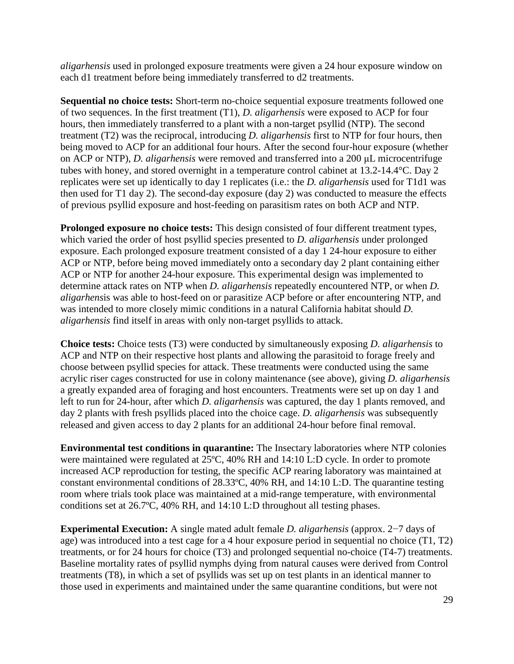*aligarhensis* used in prolonged exposure treatments were given a 24 hour exposure window on each d1 treatment before being immediately transferred to d2 treatments.

**Sequential no choice tests:** Short-term no-choice sequential exposure treatments followed one of two sequences. In the first treatment (T1), *D. aligarhensis* were exposed to ACP for four hours, then immediately transferred to a plant with a non-target psyllid (NTP). The second treatment (T2) was the reciprocal, introducing *D. aligarhensis* first to NTP for four hours, then being moved to ACP for an additional four hours. After the second four-hour exposure (whether on ACP or NTP), *D. aligarhensis* were removed and transferred into a 200 μL microcentrifuge tubes with honey, and stored overnight in a temperature control cabinet at 13.2-14.4°C. Day 2 replicates were set up identically to day 1 replicates (i.e.: the *D. aligarhensis* used for T1d1 was then used for T1 day 2). The second-day exposure (day 2) was conducted to measure the effects of previous psyllid exposure and host-feeding on parasitism rates on both ACP and NTP.

**Prolonged exposure no choice tests:** This design consisted of four different treatment types, which varied the order of host psyllid species presented to *D. aligarhensis* under prolonged exposure. Each prolonged exposure treatment consisted of a day 1 24-hour exposure to either ACP or NTP, before being moved immediately onto a secondary day 2 plant containing either ACP or NTP for another 24-hour exposure. This experimental design was implemented to determine attack rates on NTP when *D. aligarhensis* repeatedly encountered NTP, or when *D. aligarhens*is was able to host-feed on or parasitize ACP before or after encountering NTP, and was intended to more closely mimic conditions in a natural California habitat should *D. aligarhensis* find itself in areas with only non-target psyllids to attack.

**Choice tests:** Choice tests (T3) were conducted by simultaneously exposing *D. aligarhensis* to ACP and NTP on their respective host plants and allowing the parasitoid to forage freely and choose between psyllid species for attack. These treatments were conducted using the same acrylic riser cages constructed for use in colony maintenance (see above), giving *D. aligarhensis*  a greatly expanded area of foraging and host encounters. Treatments were set up on day 1 and left to run for 24-hour, after which *D. aligarhensis* was captured, the day 1 plants removed, and day 2 plants with fresh psyllids placed into the choice cage. *D. aligarhensis* was subsequently released and given access to day 2 plants for an additional 24-hour before final removal.

**Environmental test conditions in quarantine:** The Insectary laboratories where NTP colonies were maintained were regulated at 25ºC, 40% RH and 14:10 L:D cycle. In order to promote increased ACP reproduction for testing, the specific ACP rearing laboratory was maintained at constant environmental conditions of 28.33ºC, 40% RH, and 14:10 L:D. The quarantine testing room where trials took place was maintained at a mid-range temperature, with environmental conditions set at 26.7ºC, 40% RH, and 14:10 L:D throughout all testing phases.

**Experimental Execution:** A single mated adult female *D. aligarhensis* (approx. 2−7 days of age) was introduced into a test cage for a 4 hour exposure period in sequential no choice (T1, T2) treatments, or for 24 hours for choice (T3) and prolonged sequential no-choice (T4-7) treatments. Baseline mortality rates of psyllid nymphs dying from natural causes were derived from Control treatments (T8), in which a set of psyllids was set up on test plants in an identical manner to those used in experiments and maintained under the same quarantine conditions, but were not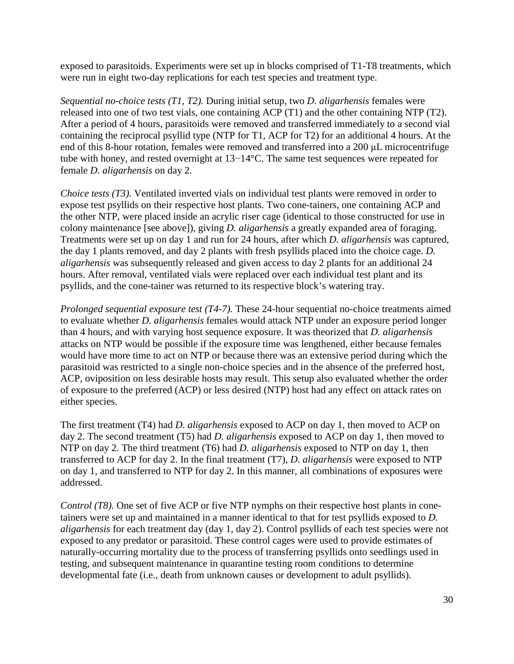exposed to parasitoids. Experiments were set up in blocks comprised of T1-T8 treatments, which were run in eight two-day replications for each test species and treatment type.

*Sequential no-choice tests (T1, T2).* During initial setup, two *D. aligarhensis* females were released into one of two test vials, one containing ACP (T1) and the other containing NTP (T2). After a period of 4 hours, parasitoids were removed and transferred immediately to a second vial containing the reciprocal psyllid type (NTP for T1, ACP for T2) for an additional 4 hours. At the end of this 8-hour rotation, females were removed and transferred into a 200 μL microcentrifuge tube with honey, and rested overnight at 13−14°C. The same test sequences were repeated for female *D. aligarhensis* on day 2.

*Choice tests (T3).* Ventilated inverted vials on individual test plants were removed in order to expose test psyllids on their respective host plants. Two cone-tainers, one containing ACP and the other NTP, were placed inside an acrylic riser cage (identical to those constructed for use in colony maintenance [see above]), giving *D. aligarhensis* a greatly expanded area of foraging. Treatments were set up on day 1 and run for 24 hours, after which *D. aligarhensis* was captured, the day 1 plants removed, and day 2 plants with fresh psyllids placed into the choice cage. *D. aligarhensis* was subsequently released and given access to day 2 plants for an additional 24 hours. After removal, ventilated vials were replaced over each individual test plant and its psyllids, and the cone-tainer was returned to its respective block's watering tray.

*Prolonged sequential exposure test (T4-7).* These 24-hour sequential no-choice treatments aimed to evaluate whether *D. aligarhensis* females would attack NTP under an exposure period longer than 4 hours, and with varying host sequence exposure. It was theorized that *D. aligarhensis*  attacks on NTP would be possible if the exposure time was lengthened, either because females would have more time to act on NTP or because there was an extensive period during which the parasitoid was restricted to a single non-choice species and in the absence of the preferred host, ACP, oviposition on less desirable hosts may result. This setup also evaluated whether the order of exposure to the preferred (ACP) or less desired (NTP) host had any effect on attack rates on either species.

The first treatment (T4) had *D. aligarhensis* exposed to ACP on day 1, then moved to ACP on day 2. The second treatment (T5) had *D. aligarhensis* exposed to ACP on day 1, then moved to NTP on day 2. The third treatment (T6) had *D. aligarhensis* exposed to NTP on day 1, then transferred to ACP for day 2. In the final treatment (T7), *D. aligarhensis* were exposed to NTP on day 1, and transferred to NTP for day 2. In this manner, all combinations of exposures were addressed.

*Control (T8).* One set of five ACP or five NTP nymphs on their respective host plants in conetainers were set up and maintained in a manner identical to that for test psyllids exposed to *D. aligarhensis* for each treatment day (day 1, day 2). Control psyllids of each test species were not exposed to any predator or parasitoid. These control cages were used to provide estimates of naturally-occurring mortality due to the process of transferring psyllids onto seedlings used in testing, and subsequent maintenance in quarantine testing room conditions to determine developmental fate (i.e., death from unknown causes or development to adult psyllids).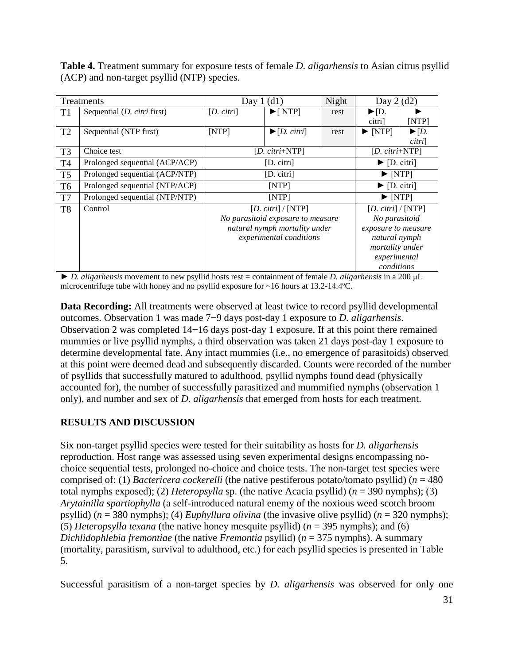**Table 4.** Treatment summary for exposure tests of female *D. aligarhensis* to Asian citrus psyllid (ACP) and non-target psyllid (NTP) species.

| Treatments     |                                     | Day $1(d1)$                                                                                                                   | Night                            | Day $2(d2)$ |                                                                                                                                               |                                               |  |
|----------------|-------------------------------------|-------------------------------------------------------------------------------------------------------------------------------|----------------------------------|-------------|-----------------------------------------------------------------------------------------------------------------------------------------------|-----------------------------------------------|--|
| T <sub>1</sub> | Sequential ( <i>D. citri</i> first) | $[D. \, \text{cltri}]$                                                                                                        | $\blacktriangleright$ [NTP]      | rest        | $\blacktriangleright$ [D.<br>citri]                                                                                                           | [NTP]                                         |  |
| T2             | Sequential (NTP first)              | [NTP]                                                                                                                         | $\blacktriangleright$ [D. citri] | rest        | $\blacktriangleright$ [NTP]                                                                                                                   | $\blacktriangleright$ $[D.$<br><i>citri</i> ] |  |
| T <sub>3</sub> | Choice test                         |                                                                                                                               | [ $D. \text{ citri+NTP}$ ]       |             | [ $D. \text{cirri+NTP}$ ]                                                                                                                     |                                               |  |
| T <sub>4</sub> | Prolonged sequential (ACP/ACP)      |                                                                                                                               | $[D.$ citri]                     |             | $\blacktriangleright$ [D. citri]                                                                                                              |                                               |  |
| T <sub>5</sub> | Prolonged sequential (ACP/NTP)      |                                                                                                                               | $\blacktriangleright$ [NTP]      |             |                                                                                                                                               |                                               |  |
| T <sub>6</sub> | Prolonged sequential (NTP/ACP)      |                                                                                                                               | $\blacktriangleright$ [D. citri] |             |                                                                                                                                               |                                               |  |
| T7             | Prolonged sequential (NTP/NTP)      |                                                                                                                               | $\blacktriangleright$ [NTP]      |             |                                                                                                                                               |                                               |  |
| T <sub>8</sub> | Control                             | $[D. \, \text{cltri}]/[NTP]$<br>No parasitoid exposure to measure<br>natural nymph mortality under<br>experimental conditions |                                  |             | $[D. \, \text{cltri}]/[\text{NTP}]$<br>No parasitoid<br>exposure to measure<br>natural nymph<br>mortality under<br>experimental<br>conditions |                                               |  |

► *D. aligarhensis* movement to new psyllid hosts rest = containment of female *D. aligarhensis* in a 200 μL microcentrifuge tube with honey and no psyllid exposure for ~16 hours at 13.2-14.4ºC.

**Data Recording:** All treatments were observed at least twice to record psyllid developmental outcomes. Observation 1 was made 7−9 days post-day 1 exposure to *D. aligarhensis*. Observation 2 was completed 14−16 days post-day 1 exposure. If at this point there remained mummies or live psyllid nymphs, a third observation was taken 21 days post-day 1 exposure to determine developmental fate. Any intact mummies (i.e., no emergence of parasitoids) observed at this point were deemed dead and subsequently discarded. Counts were recorded of the number of psyllids that successfully matured to adulthood, psyllid nymphs found dead (physically accounted for), the number of successfully parasitized and mummified nymphs (observation 1 only), and number and sex of *D. aligarhensis* that emerged from hosts for each treatment.

## **RESULTS AND DISCUSSION**

Six non-target psyllid species were tested for their suitability as hosts for *D. aligarhensis*  reproduction. Host range was assessed using seven experimental designs encompassing nochoice sequential tests, prolonged no-choice and choice tests. The non-target test species were comprised of: (1) *Bactericera cockerelli* (the native pestiferous potato/tomato psyllid) (*n* = 480 total nymphs exposed); (2) *Heteropsylla* sp. (the native Acacia psyllid) (*n* = 390 nymphs); (3) *Arytainilla spartiophylla* (a self-introduced natural enemy of the noxious weed scotch broom psyllid) (*n* = 380 nymphs); (4) *Euphyllura olivina* (the invasive olive psyllid) (*n* = 320 nymphs); (5) *Heteropsylla texana* (the native honey mesquite psyllid) (*n* = 395 nymphs); and (6) *Dichlidophlebia fremontiae* (the native *Fremontia* psyllid) (*n* = 375 nymphs). A summary (mortality, parasitism, survival to adulthood, etc.) for each psyllid species is presented in Table 5.

Successful parasitism of a non-target species by *D. aligarhensis* was observed for only one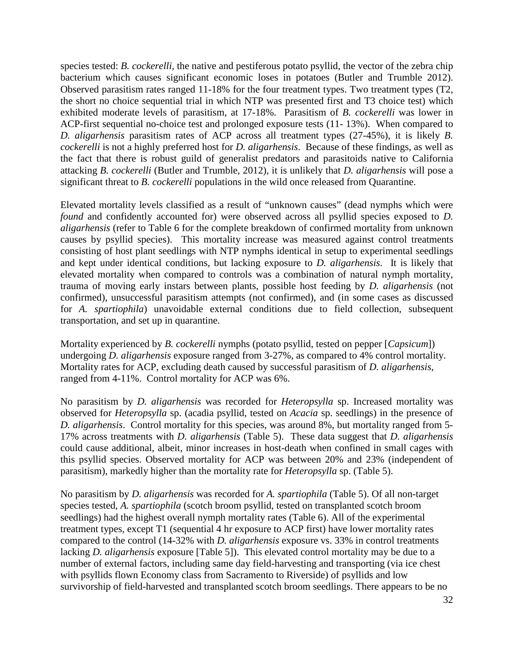species tested: *B. cockerelli*, the native and pestiferous potato psyllid, the vector of the zebra chip bacterium which causes significant economic loses in potatoes (Butler and Trumble 2012). Observed parasitism rates ranged 11-18% for the four treatment types. Two treatment types (T2, the short no choice sequential trial in which NTP was presented first and T3 choice test) which exhibited moderate levels of parasitism, at 17-18%. Parasitism of *B. cockerelli* was lower in ACP-first sequential no-choice test and prolonged exposure tests (11- 13%). When compared to *D. aligarhensis* parasitism rates of ACP across all treatment types (27-45%), it is likely *B. cockerelli* is not a highly preferred host for *D. aligarhensis*. Because of these findings, as well as the fact that there is robust guild of generalist predators and parasitoids native to California attacking *B. cockerelli* (Butler and Trumble, 2012), it is unlikely that *D. aligarhensis* will pose a significant threat to *B. cockerelli* populations in the wild once released from Quarantine.

Elevated mortality levels classified as a result of "unknown causes" (dead nymphs which were *found* and confidently accounted for) were observed across all psyllid species exposed to *D*. *aligarhensis* (refer to Table 6 for the complete breakdown of confirmed mortality from unknown causes by psyllid species). This mortality increase was measured against control treatments consisting of host plant seedlings with NTP nymphs identical in setup to experimental seedlings and kept under identical conditions, but lacking exposure to *D. aligarhensis*. It is likely that elevated mortality when compared to controls was a combination of natural nymph mortality, trauma of moving early instars between plants, possible host feeding by *D. aligarhensis* (not confirmed), unsuccessful parasitism attempts (not confirmed), and (in some cases as discussed for *A. spartiophila*) unavoidable external conditions due to field collection, subsequent transportation, and set up in quarantine.

Mortality experienced by *B. cockerelli* nymphs (potato psyllid, tested on pepper [*Capsicum*]) undergoing *D. aligarhensis* exposure ranged from 3-27%, as compared to 4% control mortality. Mortality rates for ACP, excluding death caused by successful parasitism of *D. aligarhensis*, ranged from 4-11%. Control mortality for ACP was 6%.

No parasitism by *D. aligarhensis* was recorded for *Heteropsylla* sp. Increased mortality was observed for *Heteropsylla* sp. (acadia psyllid, tested on *Acacia* sp. seedlings) in the presence of *D. aligarhensis*. Control mortality for this species, was around 8%, but mortality ranged from 5- 17% across treatments with *D. aligarhensis* (Table 5). These data suggest that *D. aligarhensis* could cause additional, albeit, minor increases in host-death when confined in small cages with this psyllid species. Observed mortality for ACP was between 20% and 23% (independent of parasitism), markedly higher than the mortality rate for *Heteropsylla* sp. (Table 5).

No parasitism by *D. aligarhensis* was recorded for *A. spartiophila* (Table 5). Of all non-target species tested, *A. spartiophila* (scotch broom psyllid, tested on transplanted scotch broom seedlings) had the highest overall nymph mortality rates (Table 6). All of the experimental treatment types, except T1 (sequential 4 hr exposure to ACP first) have lower mortality rates compared to the control (14-32% with *D. aligarhensis* exposure vs. 33% in control treatments lacking *D. aligarhensis* exposure [Table 5]). This elevated control mortality may be due to a number of external factors, including same day field-harvesting and transporting (via ice chest with psyllids flown Economy class from Sacramento to Riverside) of psyllids and low survivorship of field-harvested and transplanted scotch broom seedlings. There appears to be no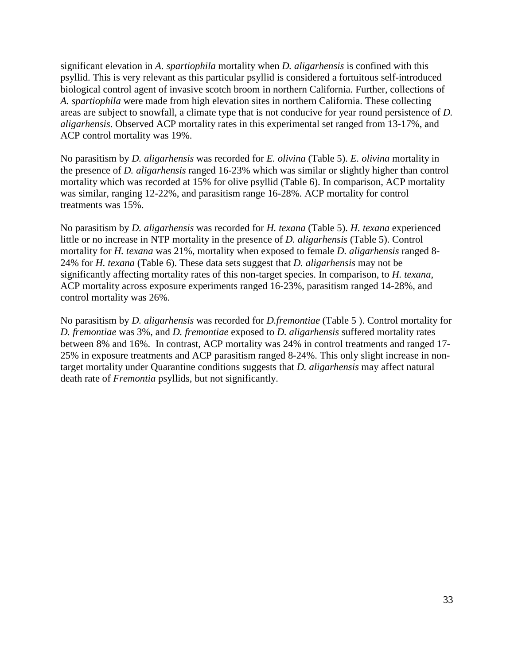significant elevation in *A. spartiophila* mortality when *D. aligarhensis* is confined with this psyllid. This is very relevant as this particular psyllid is considered a fortuitous self-introduced biological control agent of invasive scotch broom in northern California. Further, collections of *A. spartiophila* were made from high elevation sites in northern California. These collecting areas are subject to snowfall, a climate type that is not conducive for year round persistence of *D. aligarhensis*. Observed ACP mortality rates in this experimental set ranged from 13-17%, and ACP control mortality was 19%.

No parasitism by *D. aligarhensis* was recorded for *E. olivina* (Table 5). *E. olivina* mortality in the presence of *D. aligarhensis* ranged 16-23% which was similar or slightly higher than control mortality which was recorded at 15% for olive psyllid (Table 6). In comparison, ACP mortality was similar, ranging 12-22%, and parasitism range 16-28%. ACP mortality for control treatments was 15%.

No parasitism by *D. aligarhensis* was recorded for *H. texana* (Table 5). *H. texana* experienced little or no increase in NTP mortality in the presence of *D. aligarhensis* (Table 5). Control mortality for *H. texana* was 21%, mortality when exposed to female *D. aligarhensis* ranged 8- 24% for *H. texana* (Table 6). These data sets suggest that *D. aligarhensis* may not be significantly affecting mortality rates of this non-target species. In comparison, to *H. texana*, ACP mortality across exposure experiments ranged 16-23%, parasitism ranged 14-28%, and control mortality was 26%.

No parasitism by *D. aligarhensis* was recorded for *D.fremontiae* (Table 5 ). Control mortality for *D. fremontiae* was 3%, and *D. fremontiae* exposed to *D. aligarhensis* suffered mortality rates between 8% and 16%. In contrast, ACP mortality was 24% in control treatments and ranged 17- 25% in exposure treatments and ACP parasitism ranged 8-24%. This only slight increase in nontarget mortality under Quarantine conditions suggests that *D. aligarhensis* may affect natural death rate of *Fremontia* psyllids, but not significantly.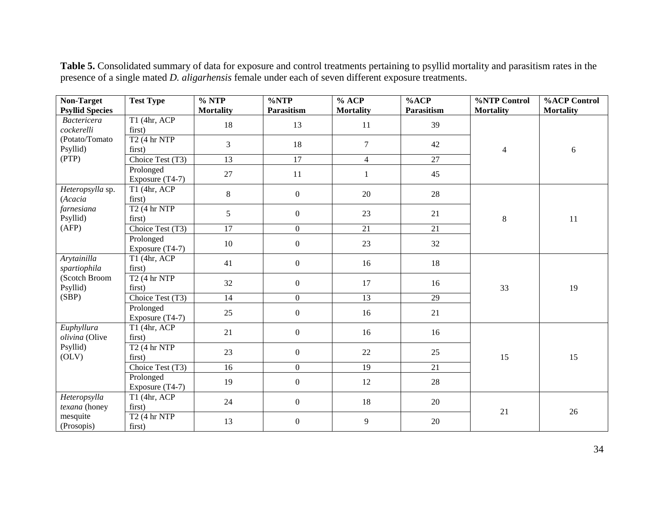| Non-Target                                                     | <b>Test Type</b>                   | $\frac{9}{6}$ NTP | $\sqrt[6]{\text{NTP}}$ | % ACP            | %ACP            | %NTP Control     | <b>%ACP Control</b> |
|----------------------------------------------------------------|------------------------------------|-------------------|------------------------|------------------|-----------------|------------------|---------------------|
| <b>Psyllid Species</b>                                         |                                    | <b>Mortality</b>  | Parasitism             | <b>Mortality</b> | Parasitism      | <b>Mortality</b> | <b>Mortality</b>    |
| <b>Bactericera</b><br>cockerelli<br>(Potato/Tomato<br>Psyllid) | T1 (4hr, ACP)<br>first)            | 18                | 13                     | 11               | 39              | $\overline{4}$   | 6                   |
|                                                                | $T2$ (4 hr NTP<br>first)           | 3                 | 18                     | $\overline{7}$   | 42              |                  |                     |
| (PTP)                                                          | Choice Test (T3)                   | $\overline{13}$   | $\overline{17}$        | $\overline{4}$   | $\overline{27}$ |                  |                     |
|                                                                | Prolonged<br>Exposure (T4-7)       | 27                | 11                     | $\mathbf{1}$     | 45              |                  |                     |
| Heteropsylla sp.<br>(Acacia                                    | T1 (4hr, ACP<br>first)             | $8\,$             | $\mathbf{0}$           | 20               | 28              |                  |                     |
| farnesiana<br>Psyllid)                                         | $T2$ (4 hr NTP<br>first)           | 5                 | $\boldsymbol{0}$       | 23               | 21              | $\,8\,$          | 11                  |
| (AFP)                                                          | Choice Test (T3)                   | $\overline{17}$   | $\boldsymbol{0}$       | 21               | 21              |                  |                     |
|                                                                | Prolonged<br>Exposure (T4-7)       | 10                | $\boldsymbol{0}$       | 23               | 32              |                  |                     |
| Arytainilla<br>spartiophila                                    | T1 (4hr, ACP)<br>first)            | 41                | $\boldsymbol{0}$       | 16               | 18              |                  |                     |
| (Scotch Broom<br>Psyllid)                                      | T2(4 hr NTP)<br>first)             | 32                | $\boldsymbol{0}$       | 17               | 16              | 33               | 19                  |
| (SBP)                                                          | Choice Test (T3)                   | 14                | $\boldsymbol{0}$       | 13               | 29              |                  |                     |
|                                                                | Prolonged<br>Exposure (T4-7)       | 25                | $\boldsymbol{0}$       | 16               | 21              |                  |                     |
| Euphyllura<br>olivina (Olive                                   | T1 (4hr, ACP)<br>first)            | 21                | $\boldsymbol{0}$       | 16               | 16              |                  |                     |
| Psyllid)<br>(OLV)                                              | $T2$ (4 hr NTP<br>first)           | 23                | $\boldsymbol{0}$       | 22               | 25              | 15               | 15                  |
|                                                                | Choice Test (T3)                   | 16                | $\boldsymbol{0}$       | 19               | 21              |                  |                     |
|                                                                | Prolonged<br>Exposure (T4-7)       | 19                | $\boldsymbol{0}$       | 12               | 28              |                  |                     |
| Heteropsylla<br>texana (honey                                  | $T1$ (4hr, ACP<br>first)           | 24                | $\boldsymbol{0}$       | 18               | 20              | 21               | 26                  |
| mesquite<br>(Prosopis)                                         | T <sub>2</sub> (4 hr NTP<br>first) | 13                | $\boldsymbol{0}$       | 9                | 20              |                  |                     |

**Table 5.** Consolidated summary of data for exposure and control treatments pertaining to psyllid mortality and parasitism rates in the presence of a single mated *D. aligarhensis* female under each of seven different exposure treatments.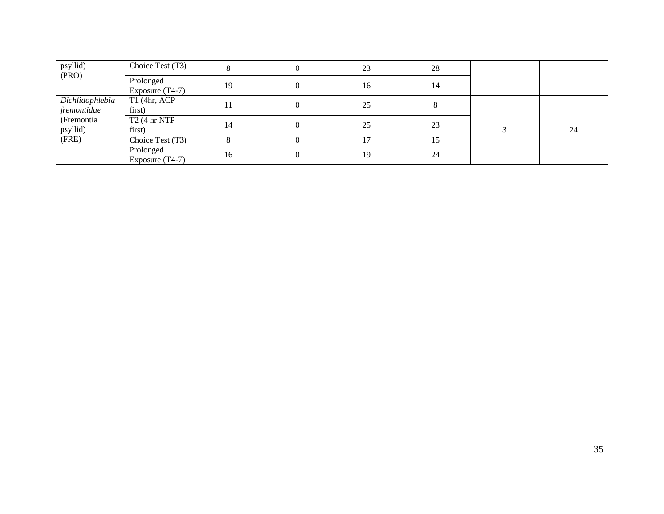| psyllid)                       | Choice Test (T3)               |    | 0        | 23 | 28 |    |
|--------------------------------|--------------------------------|----|----------|----|----|----|
| (PRO)                          | Prolonged<br>Exposure $(T4-7)$ | 19 | $\Omega$ | 16 | 14 |    |
| Dichlidophlebia<br>fremontidae | $T1$ (4hr, ACP<br>first)       | 11 | $\Omega$ | 25 |    |    |
| (Fremontia)<br>psyllid)        | T2(4 hr NTP<br>first)          | 14 | $\Omega$ | 25 | 23 | 24 |
| (FRE)                          | Choice Test (T3)               |    |          | 17 | 15 |    |
|                                | Prolonged<br>Exposure $(T4-7)$ | 16 | $\Omega$ | 19 | 24 |    |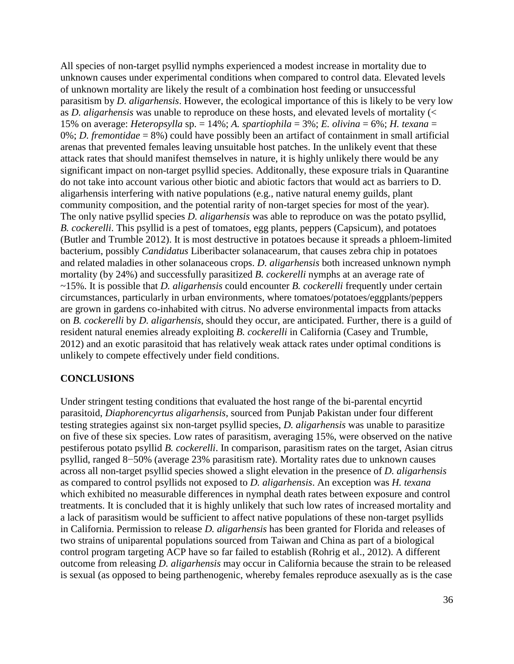All species of non-target psyllid nymphs experienced a modest increase in mortality due to unknown causes under experimental conditions when compared to control data. Elevated levels of unknown mortality are likely the result of a combination host feeding or unsuccessful parasitism by *D. aligarhensis*. However, the ecological importance of this is likely to be very low as *D. aligarhensis* was unable to reproduce on these hosts, and elevated levels of mortality (< 15% on average: *Heteropsylla* sp. = 14%; *A. spartiophila* = 3%; *E. olivina* = 6%; *H. texana* = 0%; *D. fremontidae* = 8%) could have possibly been an artifact of containment in small artificial arenas that prevented females leaving unsuitable host patches. In the unlikely event that these attack rates that should manifest themselves in nature, it is highly unlikely there would be any significant impact on non-target psyllid species. Additonally, these exposure trials in Quarantine do not take into account various other biotic and abiotic factors that would act as barriers to D. aligarhensis interfering with native populations (e.g., native natural enemy guilds, plant community composition, and the potential rarity of non-target species for most of the year). The only native psyllid species *D. aligarhensis* was able to reproduce on was the potato psyllid, *B. cockerelli*. This psyllid is a pest of tomatoes, egg plants, peppers (Capsicum), and potatoes (Butler and Trumble 2012). It is most destructive in potatoes because it spreads a phloem-limited bacterium, possibly *Candidatus* Liberibacter solanacearum, that causes zebra chip in potatoes and related maladies in other solanaceous crops. *D. aligarhensis* both increased unknown nymph mortality (by 24%) and successfully parasitized *B. cockerelli* nymphs at an average rate of ~15%. It is possible that *D. aligarhensis* could encounter *B. cockerelli* frequently under certain circumstances, particularly in urban environments, where tomatoes/potatoes/eggplants/peppers are grown in gardens co-inhabited with citrus. No adverse environmental impacts from attacks on *B. cockerelli* by *D. aligarhensis*, should they occur, are anticipated. Further, there is a guild of resident natural enemies already exploiting *B. cockerelli* in California (Casey and Trumble, 2012) and an exotic parasitoid that has relatively weak attack rates under optimal conditions is unlikely to compete effectively under field conditions.

### **CONCLUSIONS**

Under stringent testing conditions that evaluated the host range of the bi-parental encyrtid parasitoid, *Diaphorencyrtus aligarhensis*, sourced from Punjab Pakistan under four different testing strategies against six non-target psyllid species, *D. aligarhensis* was unable to parasitize on five of these six species. Low rates of parasitism, averaging 15%, were observed on the native pestiferous potato psyllid *B. cockerelli*. In comparison, parasitism rates on the target, Asian citrus psyllid, ranged 8−50% (average 23% parasitism rate). Mortality rates due to unknown causes across all non-target psyllid species showed a slight elevation in the presence of *D. aligarhensis*  as compared to control psyllids not exposed to *D. aligarhensis*. An exception was *H. texana*  which exhibited no measurable differences in nymphal death rates between exposure and control treatments. It is concluded that it is highly unlikely that such low rates of increased mortality and a lack of parasitism would be sufficient to affect native populations of these non-target psyllids in California. Permission to release *D. aligarhensis* has been granted for Florida and releases of two strains of uniparental populations sourced from Taiwan and China as part of a biological control program targeting ACP have so far failed to establish (Rohrig et al., 2012). A different outcome from releasing *D. aligarhensis* may occur in California because the strain to be released is sexual (as opposed to being parthenogenic, whereby females reproduce asexually as is the case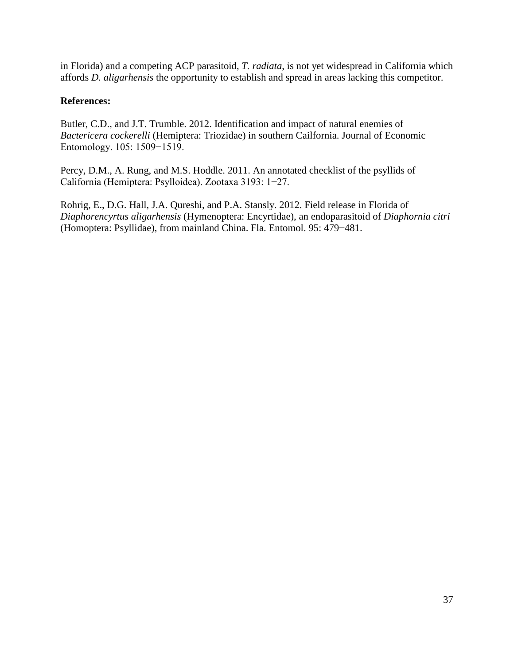in Florida) and a competing ACP parasitoid, *T. radiata*, is not yet widespread in California which affords *D. aligarhensis* the opportunity to establish and spread in areas lacking this competitor.

### **References:**

Butler, C.D., and J.T. Trumble. 2012. Identification and impact of natural enemies of *Bactericera cockerelli* (Hemiptera: Triozidae) in southern Cailfornia. Journal of Economic Entomology. 105: 1509−1519.

Percy, D.M., A. Rung, and M.S. Hoddle. 2011. An annotated checklist of the psyllids of California (Hemiptera: Psylloidea). Zootaxa 3193: 1−27.

Rohrig, E., D.G. Hall, J.A. Qureshi, and P.A. Stansly. 2012. Field release in Florida of *Diaphorencyrtus aligarhensis* (Hymenoptera: Encyrtidae), an endoparasitoid of *Diaphornia citri*  (Homoptera: Psyllidae), from mainland China. Fla. Entomol. 95: 479−481.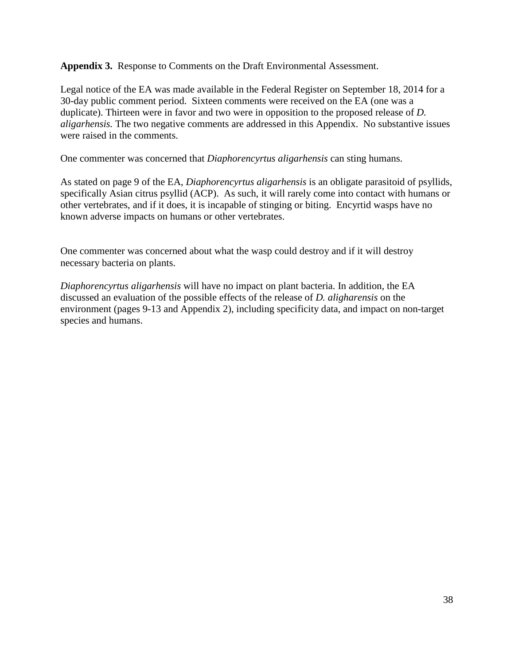**Appendix 3.** Response to Comments on the Draft Environmental Assessment.

Legal notice of the EA was made available in the Federal Register on September 18, 2014 for a 30-day public comment period. Sixteen comments were received on the EA (one was a duplicate). Thirteen were in favor and two were in opposition to the proposed release of *D. aligarhensis.* The two negative comments are addressed in this Appendix. No substantive issues were raised in the comments.

One commenter was concerned that *Diaphorencyrtus aligarhensis* can sting humans.

As stated on page 9 of the EA, *Diaphorencyrtus aligarhensis* is an obligate parasitoid of psyllids, specifically Asian citrus psyllid (ACP). As such, it will rarely come into contact with humans or other vertebrates, and if it does, it is incapable of stinging or biting. Encyrtid wasps have no known adverse impacts on humans or other vertebrates.

One commenter was concerned about what the wasp could destroy and if it will destroy necessary bacteria on plants.

*Diaphorencyrtus aligarhensis* will have no impact on plant bacteria. In addition, the EA discussed an evaluation of the possible effects of the release of *D. aligharensis* on the environment (pages 9-13 and Appendix 2), including specificity data, and impact on non-target species and humans.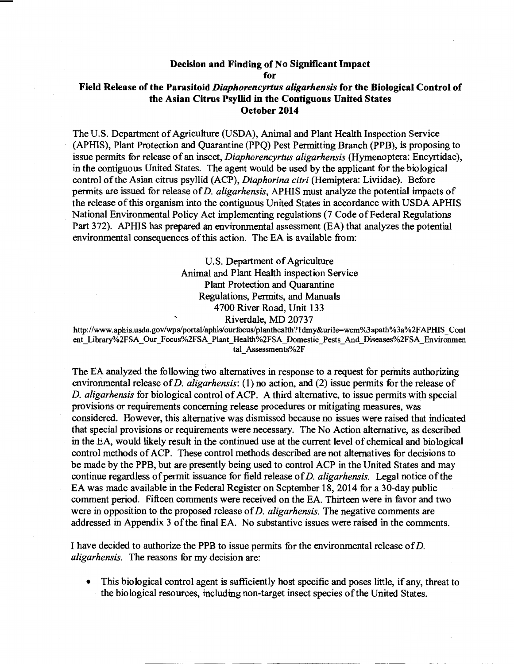#### Decision and Finding of No Significant Impact

for

### Field Release of the Parasitoid *Diaphorencyrtus aligarhensis* for the Biological Control of the Asian Citrus Psyllid in the Contiguous United States October 2014

The U.S. Department of Agriculture (USDA), Animal and Plant Health Inspection Service (APHIS), Plant Protection and Quarantine (PPQ) Pest Permitting Branch (PPB), is proposing to issue permits for release of an insect, *Diaphorencyrtus aligarhensis* (Hymenoptera: Encyrtidae), in the contiguous United States. The agent would be used by the applicant for the biological control of the Asian citrus psyllid (ACP), *Diaphorina citri* (Hemiptera: Liviidae). Before permits are issued for release of *D. aligarhensis,* APHIS must analyze the potential impacts of the release of this organism into the contiguous United States in accordance with USDA APHIS National Environmental Policy Act implementing regulations (7 Code of Federal Regulations Part 372). APHIS has prepared an environmental assessment (EA) that analyzes the potential environmental consequences of this action. The EA is available from:

> U.S. Department of Agriculture Animal and Plant Health inspection Service Plant Protection and Quarantine Regulations, Permits, and Manuals 4700 River Road, Unit 133 Riverdale, MD 20737

http://www.aphis.usda.gov/wps/portal/aphis/ourfocus/planthealth ?I dmy&urile=wcm%3apath%3a%2F APHIS \_Cont ent Library%2FSA Our Focus%2FSA Plant Health%2FSA Domestic Pests And Diseases%2FSA Environmen tal\_Assessments%2F

The EA analyzed the following two alternatives in response to a request for permits authorizing environmental release of *D. aligarhensis:* ( 1) no action, and (2) issue permits for the release of *D. aligarhensis* for biological control of ACP. A third alternative, to issue permits with special provisions or requirements concerning release procedures or mitigating measures, was considered. However, this alternative was dismissed because no issues were raised that indicated that special provisions or requirements were necessary. The No Action alternative, as described in the EA, would likely result in the continued use at the current level of chemical and biological control methods of ACP. These control methods described are not alternatives for decisions to be made by the PPB, but are presently being used to control ACP in the United States and may continue regardless of permit issuance for field release of *D. aligarhensis.* Legal notice of the EA was made available in the Federal Register on September 18, 2014 for a 30-day public comment period. Fifteen comments were received on the EA. Thirteen were in favor and two were in opposition to the proposed release of *D. aligarhensis.* The negative comments are addressed in Appendix 3 of the final EA. No substantive issues were raised in the comments.

I have decided to authorize the PPB to issue permits for the environmental release of D. *aligarhensis.* The reasons for my decision are:

• This biological control agent is sufficiently host specific and poses little, if any, threat to the biological resources, including non-target insect species of the United States.